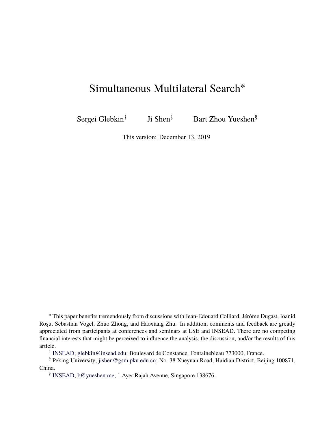# Simultaneous Multilateral Search<sup>∗</sup>

Sergei Glebkin† Ji Shen<sup>‡</sup> Bart Zhou Yueshen<sup>§</sup>

This version: December 13, 2019

<sup>∗</sup> This paper benefits tremendously from discussions with Jean-Edouard Colliard, Jérôme Dugast, Ioanid Roşu, Sebastian Vogel, Zhuo Zhong, and Haoxiang Zhu. In addition, comments and feedback are greatly appreciated from participants at conferences and seminars at LSE and INSEAD. There are no competing financial interests that might be perceived to influence the analysis, the discussion, and/or the results of this article.

† [INSEAD;](http://www.insead.edu/) [glebkin@insead.edu;](mailto:glebkin@insead.edu) Boulevard de Constance, Fontainebleau 773000, France.

‡ Peking University; [jishen@gsm.pku.edu.cn](mailto:jishen@gsm.pku.edu.cn); No. 38 Xueyuan Road, Haidian District, Beijing 100871, China.

§ [INSEAD;](http://www.insead.edu/) [b@yueshen.me](mailto:b@yueshen.me); 1 Ayer Rajah Avenue, Singapore 138676.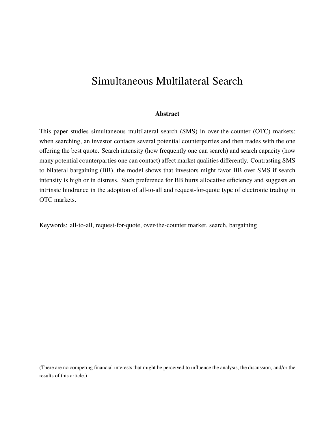# Simultaneous Multilateral Search

#### **Abstract**

This paper studies simultaneous multilateral search (SMS) in over-the-counter (OTC) markets: when searching, an investor contacts several potential counterparties and then trades with the one offering the best quote. Search intensity (how frequently one can search) and search capacity (how many potential counterparties one can contact) affect market qualities differently. Contrasting SMS to bilateral bargaining (BB), the model shows that investors might favor BB over SMS if search intensity is high or in distress. Such preference for BB hurts allocative efficiency and suggests an intrinsic hindrance in the adoption of all-to-all and request-for-quote type of electronic trading in OTC markets.

Keywords: all-to-all, request-for-quote, over-the-counter market, search, bargaining

(There are no competing financial interests that might be perceived to influence the analysis, the discussion, and/or the results of this article.)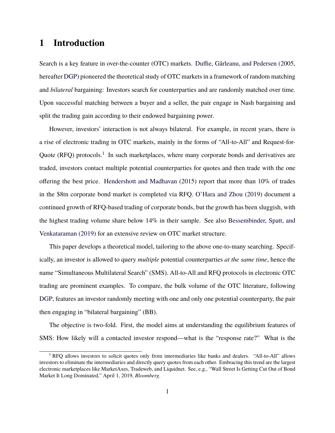## **1 Introduction**

Search is a key feature in over-the-counter (OTC) markets. [Duffie, Gârleanu, and Pedersen](#page-49-0) [\(2005](#page-49-0), hereafter [DGP\)](#page-49-0) pioneered the theoretical study of OTC markets in a framework of random matching and *bilateral* bargaining: Investors search for counterparties and are randomly matched over time. Upon successful matching between a buyer and a seller, the pair engage in Nash bargaining and split the trading gain according to their endowed bargaining power.

However, investors' interaction is not always bilateral. For example, in recent years, there is a rise of electronic trading in OTC markets, mainly in the forms of "All-to-All" and Request-for-Quote (RFQ) protocols.<sup>[1](#page-2-0)</sup> In such marketplaces, where many corporate bonds and derivatives are traded, investors contact multiple potential counterparties for quotes and then trade with the one offering the best price. [Hendershott and Madhavan](#page-50-0) ([2015\)](#page-50-0) report that more than 10% of trades in the \$8tn corporate bond market is completed via RFQ. [O'Hara and Zhou](#page-50-1) ([2019\)](#page-50-1) document a continued growth of RFQ-based trading of corporate bonds, but the growth has been sluggish, with the highest trading volume share below 14% in their sample. See also [Bessembinder, Spatt, and](#page-49-1) [Venkataraman](#page-49-1) ([2019\)](#page-49-1) for an extensive review on OTC market structure.

This paper develops a theoretical model, tailoring to the above one-to-many searching. Specifically, an investor is allowed to query *multiple* potential counterparties *at the same time*, hence the name "Simultaneous Multilateral Search" (SMS). All-to-All and RFQ protocols in electronic OTC trading are prominent examples. To compare, the bulk volume of the OTC literature, following [DGP,](#page-49-0) features an investor randomly meeting with one and only one potential counterparty, the pair then engaging in "bilateral bargaining" (BB).

The objective is two-fold. First, the model aims at understanding the equilibrium features of SMS: How likely will a contacted investor respond—what is the "response rate?" What is the

<span id="page-2-0"></span> $1$  RFO allows investors to solicit quotes only from intermediaries like banks and dealers. "All-to-All" allows investors to eliminate the intermediaries and directly query quotes from each other. Embracing this trend are the largest electronic marketplaces like MarketAxes, Tradeweb, and Liquidnet. See, e.g., "Wall Street Is Getting Cut Out of Bond Market It Long Dominated," April 1, 2019, *Bloomberg*.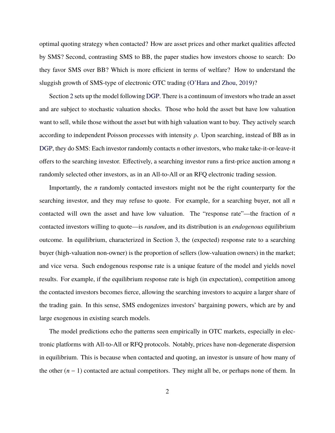optimal quoting strategy when contacted? How are asset prices and other market qualities affected by SMS? Second, contrasting SMS to BB, the paper studies how investors choose to search: Do they favor SMS over BB? Which is more efficient in terms of welfare? How to understand the sluggish growth of SMS-type of electronic OTC trading ([O'Hara and Zhou,](#page-50-1) [2019\)](#page-50-1)?

Section [2](#page-8-0) sets up the model following [DGP](#page-49-0). There is a continuum of investors who trade an asset and are subject to stochastic valuation shocks. Those who hold the asset but have low valuation want to sell, while those without the asset but with high valuation want to buy. They actively search according to independent Poisson processes with intensity *ρ*. Upon searching, instead of BB as in [DGP,](#page-49-0) they do SMS: Each investor randomly contacts *n* other investors, who make take-it-or-leave-it offers to the searching investor. Effectively, a searching investor runs a first-price auction among *n* randomly selected other investors, as in an All-to-All or an RFQ electronic trading session.

Importantly, the *n* randomly contacted investors might not be the right counterparty for the searching investor, and they may refuse to quote. For example, for a searching buyer, not all *n* contacted will own the asset and have low valuation. The "response rate"—the fraction of *n* contacted investors willing to quote—is *random*, and its distribution is an *endogenous* equilibrium outcome. In equilibrium, characterized in Section [3,](#page-11-0) the (expected) response rate to a searching buyer (high-valuation non-owner) is the proportion of sellers (low-valuation owners) in the market; and vice versa. Such endogenous response rate is a unique feature of the model and yields novel results. For example, if the equilibrium response rate is high (in expectation), competition among the contacted investors becomes fierce, allowing the searching investors to acquire a larger share of the trading gain. In this sense, SMS endogenizes investors' bargaining powers, which are by and large exogenous in existing search models.

The model predictions echo the patterns seen empirically in OTC markets, especially in electronic platforms with All-to-All or RFQ protocols. Notably, prices have non-degenerate dispersion in equilibrium. This is because when contacted and quoting, an investor is unsure of how many of the other  $(n - 1)$  contacted are actual competitors. They might all be, or perhaps none of them. In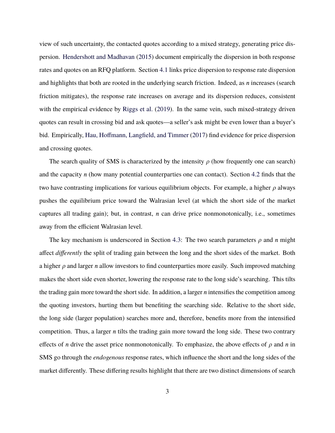view of such uncertainty, the contacted quotes according to a mixed strategy, generating price dispersion. [Hendershott and Madhavan](#page-50-0) [\(2015](#page-50-0)) document empirically the dispersion in both response rates and quotes on an RFQ platform. Section [4.1](#page-20-0) links price dispersion to response rate dispersion and highlights that both are rooted in the underlying search friction. Indeed, as *n* increases (search friction mitigates), the response rate increases on average and its dispersion reduces, consistent with the empirical evidence by [Riggs et al.](#page-50-2) ([2019\)](#page-50-2). In the same vein, such mixed-strategy driven quotes can result in crossing bid and ask quotes—a seller's ask might be even lower than a buyer's bid. Empirically, [Hau, Hoffmann, Langfield, and Timmer](#page-50-3) ([2017](#page-50-3)) find evidence for price dispersion and crossing quotes.

The search quality of SMS is characterized by the intensity  $\rho$  (how frequently one can search) and the capacity *n* (how many potential counterparties one can contact). Section [4.2](#page-24-0) finds that the two have contrasting implications for various equilibrium objects. For example, a higher *ρ* always pushes the equilibrium price toward the Walrasian level (at which the short side of the market captures all trading gain); but, in contrast, *n* can drive price nonmonotonically, i.e., sometimes away from the efficient Walrasian level.

The key mechanism is underscored in Section [4.3](#page-27-0): The two search parameters  $\rho$  and  $n$  might affect *differently* the split of trading gain between the long and the short sides of the market. Both a higher *ρ* and larger *n* allow investors to find counterparties more easily. Such improved matching makes the short side even shorter, lowering the response rate to the long side's searching. This tilts the trading gain more toward the short side. In addition, a larger *n* intensifies the competition among the quoting investors, hurting them but benefiting the searching side. Relative to the short side, the long side (larger population) searches more and, therefore, benefits more from the intensified competition. Thus, a larger *n* tilts the trading gain more toward the long side. These two contrary effects of *n* drive the asset price nonmonotonically. To emphasize, the above effects of *ρ* and *n* in SMS go through the *endogenous* response rates, which influence the short and the long sides of the market differently. These differing results highlight that there are two distinct dimensions of search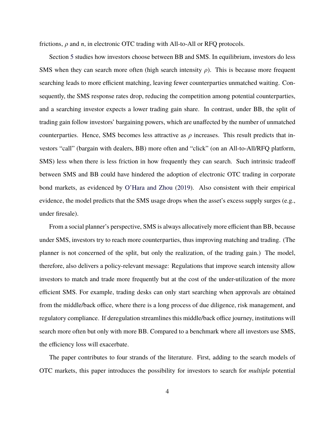frictions, *ρ* and *n*, in electronic OTC trading with All-to-All or RFQ protocols.

Section [5](#page-32-0) studies how investors choose between BB and SMS. In equilibrium, investors do less SMS when they can search more often (high search intensity  $\rho$ ). This is because more frequent searching leads to more efficient matching, leaving fewer counterparties unmatched waiting. Consequently, the SMS response rates drop, reducing the competition among potential counterparties, and a searching investor expects a lower trading gain share. In contrast, under BB, the split of trading gain follow investors' bargaining powers, which are unaffected by the number of unmatched counterparties. Hence, SMS becomes less attractive as  $\rho$  increases. This result predicts that investors "call" (bargain with dealers, BB) more often and "click" (on an All-to-All/RFQ platform, SMS) less when there is less friction in how frequently they can search. Such intrinsic tradeoff between SMS and BB could have hindered the adoption of electronic OTC trading in corporate bond markets, as evidenced by [O'Hara and Zhou](#page-50-1) [\(2019](#page-50-1)). Also consistent with their empirical evidence, the model predicts that the SMS usage drops when the asset's excess supply surges (e.g., under firesale).

From a social planner's perspective, SMS is always allocatively more efficient than BB, because under SMS, investors try to reach more counterparties, thus improving matching and trading. (The planner is not concerned of the split, but only the realization, of the trading gain.) The model, therefore, also delivers a policy-relevant message: Regulations that improve search intensity allow investors to match and trade more frequently but at the cost of the under-utilization of the more efficient SMS. For example, trading desks can only start searching when approvals are obtained from the middle/back office, where there is a long process of due diligence, risk management, and regulatory compliance. If deregulation streamlines this middle/back office journey, institutions will search more often but only with more BB. Compared to a benchmark where all investors use SMS, the efficiency loss will exacerbate.

The paper contributes to four strands of the literature. First, adding to the search models of OTC markets, this paper introduces the possibility for investors to search for *multiple* potential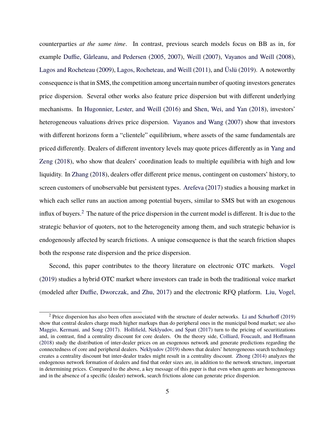counterparties *at the same time*. In contrast, previous search models focus on BB as in, for example [Duffie, Gârleanu, and Pedersen](#page-49-0) ([2005,](#page-49-0) [2007](#page-49-2)), [Weill](#page-51-0) [\(2007](#page-51-0)), [Vayanos and Weill](#page-51-1) [\(2008](#page-51-1)), [Lagos and Rocheteau](#page-50-4) [\(2009](#page-50-4)), [Lagos, Rocheteau, and Weill](#page-50-5) [\(2011\)](#page-50-5), and [Üslü](#page-51-2) ([2019\)](#page-51-2). A noteworthy consequence is that in SMS, the competition among uncertain number of quoting investors generates price dispersion. Several other works also feature price dispersion but with different underlying mechanisms. In [Hugonnier, Lester, and Weill](#page-50-6) [\(2016](#page-50-6)) and [Shen, Wei, and Yan](#page-50-7) [\(2018](#page-50-7)), investors' heterogeneous valuations drives price dispersion. [Vayanos and Wang](#page-51-3) [\(2007\)](#page-51-3) show that investors with different horizons form a "clientele" equilibrium, where assets of the same fundamentals are priced differently. Dealers of different inventory levels may quote prices differently as in [Yang and](#page-51-4) [Zeng](#page-51-4) [\(2018](#page-51-4)), who show that dealers' coordination leads to multiple equilibria with high and low liquidity. In [Zhang](#page-51-5) ([2018](#page-51-5)), dealers offer different price menus, contingent on customers' history, to screen customers of unobservable but persistent types. [Arefeva](#page-49-3) [\(2017](#page-49-3)) studies a housing market in which each seller runs an auction among potential buyers, similar to SMS but with an exogenous influx of buyers.<sup>[2](#page-6-0)</sup> The nature of the price dispersion in the current model is different. It is due to the strategic behavior of quoters, not to the heterogeneity among them, and such strategic behavior is endogenously affected by search frictions. A unique consequence is that the search friction shapes both the response rate dispersion and the price dispersion.

Second, this paper contributes to the theory literature on electronic OTC markets. [Vogel](#page-51-6) ([2019\)](#page-51-6) studies a hybrid OTC market where investors can trade in both the traditional voice market (modeled after [Duffie, Dworczak, and Zhu](#page-49-4), [2017\)](#page-49-4) and the electronic RFQ platform. [Liu, Vogel,](#page-50-8)

<span id="page-6-0"></span> $2$  [Price dispersion has also been often associated with the structure of dealer networks.](#page-50-8) Li and Schurhoff ([2019\)](#page-50-9) show that central dealers charge much higher markups than do peripheral ones in the municipal bond market; see also [Maggio, Kermani, and Song](#page-50-10) [\(2017](#page-50-10)). [Hollifield, Neklyudov, and Spatt](#page-50-11) ([2017\)](#page-50-11) turn to the pricing of securitizations and, in contrast, find a centrality discount for core dealers. On the theory side, [Colliard, Foucault, and Hoffmann](#page-49-5) [\(2018](#page-49-5)) study the distribution of inter-dealer prices on an exogenous network and generate predictions regarding the connectedness of core and peripheral dealers. [Neklyudov](#page-50-12) [\(2019](#page-50-12)) shows that dealers' heterogeneous search technology creates a centrality discount but inter-dealer trades might result in a centrality discount. [Zhong](#page-51-7) [\(2014](#page-51-7)) analyzes the endogenous network formation of dealers and find that order sizes are, in addition to the network structure, important in determining prices. Compared to the above, a key message of this paper is that even when agents are homogeneous and in the absence of a specific (dealer) network, search frictions alone can generate price dispersion.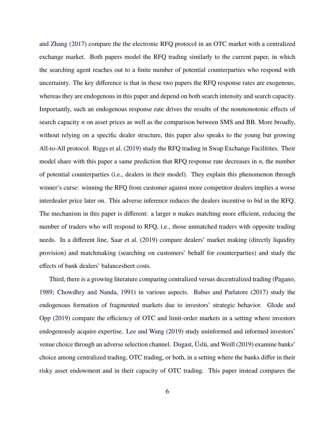and Zhang ([2017\)](#page-50-8) compare the the electronic RFQ protocol in an OTC market with a centralized exchange market. Both papers model the RFQ trading similarly to the current paper, in which the searching agent reaches out to a finite number of potential counterparties who respond with uncertainty. The key difference is that in these two papers the RFQ response rates are exogenous, whereas they are endogenous in this paper and depend on both search intensity and search capacity. Importantly, such an endogenous response rate drives the results of the nonmonotonic effects of search capacity *n* on asset prices as well as the comparison between SMS and BB. More broadly, without relying on a specific dealer structure, this paper also speaks to the young but growing All-to-All protocol. [Riggs et al.](#page-50-2) [\(2019](#page-50-2)) study the RFQ trading in Swap Exchange Facilitites. Their model share with this paper a same prediction that RFQ response rate decreases in *n*, the number of potential counterparties (i.e., dealers in their model). They explain this phenomenon through winner's curse: winning the RFQ from customer against more competitor dealers implies a worse interdealer price later on. This adverse inference reduces the dealers incentive to bid in the RFQ. The mechanism in this paper is different: a larger *n* makes matching more efficient, reducing the number of traders who will respond to RFQ, i.e., those unmatched traders with opposite trading needs. In a different line, [Saar et al.](#page-50-13) [\(2019\)](#page-50-13) compare dealers' market making (directly liquidity provision) and matchmaking (searching on customers' behalf for counterparties) and study the effects of bank dealers' balancesheet costs.

Third, there is a growing literature comparing centralized versus decentralized trading [\(Pagano](#page-50-14), [1989;](#page-50-14) [Chowdhry and Nanda,](#page-49-6) [1991](#page-49-6)) in various aspects. [Babus and Parlatore](#page-49-7) [\(2017](#page-49-7)) study the endogenous formation of fragmented markets due to investors' strategic behavior. [Glode and](#page-49-8) [Opp](#page-49-8) [\(2019](#page-49-8)) compare the efficiency of OTC and limit-order markets in a setting where investors endogenously acquire expertise. [Lee and Wang](#page-50-15) ([2019\)](#page-50-15) study uninformed and informed investors' venue choice through an adverse selection channel. [Dugast, Üslü, and Weill](#page-49-9) ([2019\)](#page-49-9) examine banks' choice among centralized trading, OTC trading, or both, in a setting where the banks differ in their risky asset endowment and in their capacity of OTC trading. This paper instead compares the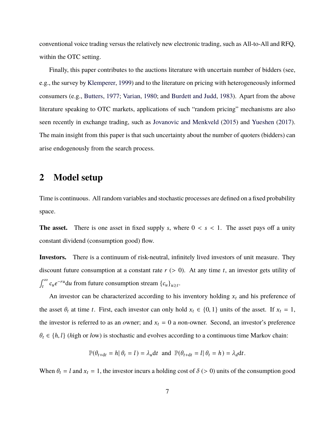conventional voice trading versus the relatively new electronic trading, such as All-to-All and RFQ, within the OTC setting.

Finally, this paper contributes to the auctions literature with uncertain number of bidders (see, e.g., the survey by [Klemperer](#page-50-16), [1999](#page-50-16)) and to the literature on pricing with heterogeneously informed consumers (e.g., [Butters](#page-49-10), [1977](#page-49-10); [Varian,](#page-51-8) [1980;](#page-51-8) and [Burdett and Judd,](#page-49-11) [1983\)](#page-49-11). Apart from the above literature speaking to OTC markets, applications of such "random pricing" mechanisms are also seen recently in exchange trading, such as [Jovanovic and Menkveld](#page-50-17) ([2015\)](#page-50-17) and [Yueshen](#page-51-9) [\(2017](#page-51-9)). The main insight from this paper is that such uncertainty about the number of quoters (bidders) can arise endogenously from the search process.

## <span id="page-8-0"></span>**2 Model setup**

Time is continuous. All random variables and stochastic processes are defined on a fixed probability space.

**The asset.** There is one asset in fixed supply *s*, where  $0 < s < 1$ . The asset pays off a unity constant dividend (consumption good) flow.

**Investors.** There is a continuum of risk-neutral, infinitely lived investors of unit measure. They discount future consumption at a constant rate  $r$  ( $>$  0). At any time  $t$ , an investor gets utility of  $\int^{\infty}$  $\int_{t}^{\infty} c_u e^{-ru} du$  from future consumption stream  $\{c_u\}_{u \geq t}$ .

An investor can be characterized according to his inventory holding  $x_t$  and his preference of the asset  $\theta_t$  at time *t*. First, each investor can only hold  $x_t \in \{0, 1\}$  units of the asset. If  $x_t = 1$ , the investor is referred to as an *o*wner; and  $x_t = 0$  a *n*on-owner. Second, an investor's preference  $\theta_t \in \{h, l\}$  (*high* or *low*) is stochastic and evolves according to a continuous time Markov chain:

$$
\mathbb{P}(\theta_{t+dt} = h | \theta_t = l) = \lambda_u dt \text{ and } \mathbb{P}(\theta_{t+dt} = l | \theta_t = h) = \lambda_d dt.
$$

When  $\theta_t = l$  and  $x_t = 1$ , the investor incurs a holding cost of  $\delta$  (> 0) units of the consumption good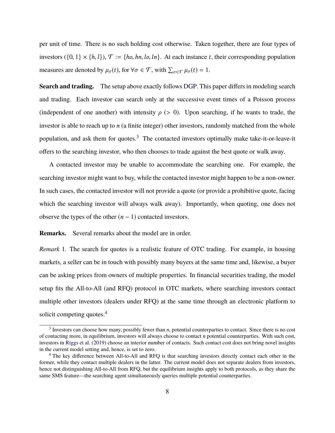per unit of time. There is no such holding cost otherwise. Taken together, there are four types of investors  $(\{0, 1\} \times \{h, l\})$ ,  $\mathcal{T} := \{ho, hn, lo, ln\}$ . At each instance *t*, their corresponding population measures are denoted by  $\mu_{\sigma}(t)$ , for  $\forall \sigma \in \mathcal{T}$ , with  $\sum_{\sigma \in \mathcal{T}} \mu_{\sigma}(t) = 1$ .

**Search and trading.** The setup above exactly follows [DGP.](#page-49-0) This paper differs in modeling search and trading. Each investor can search only at the successive event times of a Poisson process (independent of one another) with intensity  $\rho$  ( $> 0$ ). Upon searching, if he wants to trade, the investor is able to reach up to *n* (a finite integer) other investors, randomly matched from the whole population, and ask them for quotes. $3$  The contacted investors optimally make take-it-or-leave-it offers to the searching investor, who then chooses to trade against the best quote or walk away.

A contacted investor may be unable to accommodate the searching one. For example, the searching investor might want to buy, while the contacted investor might happen to be a non-owner. In such cases, the contacted investor will not provide a quote (or provide a prohibitive quote, facing which the searching investor will always walk away). Importantly, when quoting, one does not observe the types of the other  $(n - 1)$  contacted investors.

**Remarks.** Several remarks about the model are in order.

*Remark* 1*.* The search for quotes is a realistic feature of OTC trading. For example, in housing markets, a seller can be in touch with possibly many buyers at the same time and, likewise, a buyer can be asking prices from owners of multiple properties. In financial securities trading, the model setup fits the All-to-All (and RFQ) protocol in OTC markets, where searching investors contact multiple other investors (dealers under RFQ) at the same time through an electronic platform to solicit competing quotes.<sup>[4](#page-9-1)</sup>

<span id="page-9-0"></span><sup>&</sup>lt;sup>3</sup> Investors can choose how many, possibly fewer than *n*, potential counterparties to contact. Since there is no cost of contacting more, in equilibrium, investors will always choose to contact *n* potential counterparties. With such cost, investors in [Riggs et al.](#page-50-2) ([2019\)](#page-50-2) choose an interior number of contacts. Such contact cost does not bring novel insights in the current model setting and, hence, is set to zero.

<span id="page-9-1"></span><sup>&</sup>lt;sup>4</sup> The key difference between All-to-All and RFO is that searching investors directly contact each other in the former, while they contact multiple dealers in the latter. The current model does not separate dealers from investors, hence not distinguishing All-to-All from RFQ, but the equilibrium insights apply to both protocols, as they share the same SMS feature—the searching agent simultaneously queries multiple potential counterparties.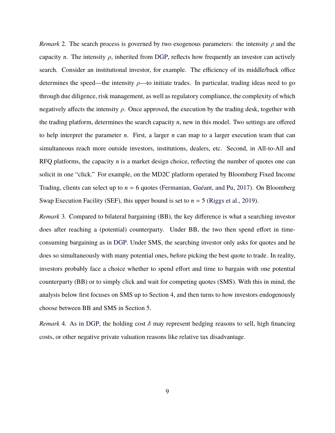<span id="page-10-0"></span>*Remark* 2*.* The search process is governed by two exogenous parameters: the intensity *ρ* and the capacity *n*. The intensity  $\rho$ , inherited from [DGP,](#page-49-0) reflects how frequently an investor can actively search. Consider an institutional investor, for example. The efficiency of its middle/back office determines the speed—the intensity *ρ*—to initiate trades. In particular, trading ideas need to go through due diligence, risk management, as well as regulatory compliance, the complexity of which negatively affects the intensity *ρ*. Once approved, the execution by the trading desk, together with the trading platform, determines the search capacity *n*, new in this model. Two settings are offered to help interpret the parameter *n*. First, a larger *n* can map to a larger execution team that can simultaneous reach more outside investors, institutions, dealers, etc. Second, in All-to-All and RFQ platforms, the capacity *n* is a market design choice, reflecting the number of quotes one can solicit in one "click." For example, on the MD2C platform operated by Bloomberg Fixed Income Trading, clients can select up to *n* = 6 quotes ([Fermanian, Guéant, and Pu,](#page-49-12) [2017\)](#page-49-12). On Bloomberg Swap Execution Facility (SEF), this upper bound is set to  $n = 5$  [\(Riggs et al.](#page-50-2), [2019](#page-50-2)).

<span id="page-10-1"></span>*Remark* 3*.* Compared to bilateral bargaining (BB), the key difference is what a searching investor does after reaching a (potential) counterparty. Under BB, the two then spend effort in timeconsuming bargaining as in [DGP.](#page-49-0) Under SMS, the searching investor only asks for quotes and he does so simultaneously with many potential ones, before picking the best quote to trade. In reality, investors probably face a choice whether to spend effort and time to bargain with one potential counterparty (BB) or to simply click and wait for competing quotes (SMS). With this in mind, the analysis below first focuses on SMS up to Section 4, and then turns to how investors endogenously choose between BB and SMS in Section [5.](#page-32-0)

*Remark* 4. As in [DGP](#page-49-0), the holding cost  $\delta$  may represent hedging reasons to sell, high financing costs, or other negative private valuation reasons like relative tax disadvantage.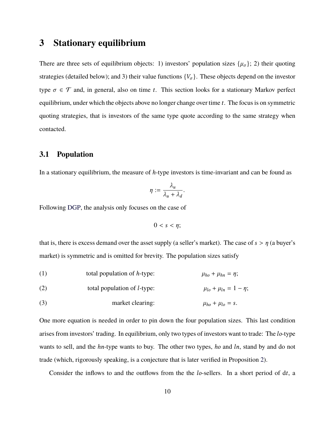## <span id="page-11-0"></span>**3 Stationary equilibrium**

There are three sets of equilibrium objects: 1) investors' population sizes  $\{\mu_{\sigma}\}\$ ; 2) their quoting strategies (detailed below); and 3) their value functions  $\{V_{\sigma}\}\$ . These objects depend on the investor type  $\sigma \in \mathcal{T}$  and, in general, also on time *t*. This section looks for a stationary Markov perfect equilibrium, under which the objects above no longer change over time *t*. The focus is on symmetric quoting strategies, that is investors of the same type quote according to the same strategy when contacted.

## <span id="page-11-3"></span>**3.1 Population**

In a stationary equilibrium, the measure of *h*-type investors is time-invariant and can be found as

$$
\eta := \frac{\lambda_u}{\lambda_u + \lambda_d}.
$$

Following [DGP](#page-49-0), the analysis only focuses on the case of

$$
0 < s < \eta
$$

that is, there is excess demand over the asset supply (a seller's market). The case of  $s > \eta$  (a buyer's market) is symmetric and is omitted for brevity. The population sizes satisfy

<span id="page-11-4"></span><span id="page-11-1"></span>(1) total population of *h*-type:  $\mu_{ho} + \mu_{hn} = \eta$ ;

<span id="page-11-2"></span>(2) total population of *l*-type:  $\mu_{lo} + \mu_{ln} = 1 - \eta$ ;

(3) market clearing:  $\mu_{ho} + \mu_{lo} = s$ .

One more equation is needed in order to pin down the four population sizes. This last condition arises from investors' trading. In equilibrium, only two types of investors want to trade: The *lo*-type wants to sell, and the *hn*-type wants to buy. The other two types, *ho* and *ln*, stand by and do not trade (which, rigorously speaking, is a conjecture that is later verified in Proposition [2](#page-19-0)).

Consider the inflows to and the outflows from the the *lo*-sellers. In a short period of d*t*, a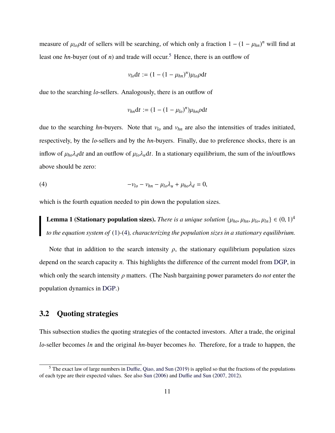measure of  $\mu_{lo}$ *p*d*t* of sellers will be searching, of which only a fraction  $1 - (1 - \mu_{hn})^n$  will find at least one *hn*-buyer (out of *n*) and trade will occur.<sup>[5](#page-12-0)</sup> Hence, there is an outflow of

$$
v_{lo}dt := (1 - (1 - \mu_{hn})^n)\mu_{lo}\rho dt
$$

due to the searching *lo*-sellers. Analogously, there is an outflow of

$$
v_{hn}dt := (1 - (1 - \mu_{lo})^n)\mu_{hn}\rho dt
$$

due to the searching *hn*-buyers. Note that *νlo* and *νhn* are also the intensities of trades initiated, respectively, by the *lo*-sellers and by the *hn*-buyers. Finally, due to preference shocks, there is an inflow of  $\mu_{ho}\lambda_d$ d*t* and an outflow of  $\mu_{lo}\lambda_u$ d*t*. In a stationary equilibrium, the sum of the in/outflows above should be zero:

<span id="page-12-1"></span>
$$
-\nu_{lo} - \nu_{hn} - \mu_{lo}\lambda_u + \mu_{ho}\lambda_d = 0,
$$

which is the fourth equation needed to pin down the population sizes.

<span id="page-12-2"></span>**Lemma 1 (Stationary population sizes).** *There is a unique solution*  $\{\mu_{ho}, \mu_{hn}, \mu_{lo}, \mu_{ln}\} \in (0, 1)^4$ *to the equation system of* ([1\)](#page-11-1)*-*([4\)](#page-12-1)*, characterizing the population sizes in a stationary equilibrium.*

Note that in addition to the search intensity  $\rho$ , the stationary equilibrium population sizes depend on the search capacity *n*. This highlights the difference of the current model from [DGP,](#page-49-0) in which only the search intensity *ρ* matters. (The Nash bargaining power parameters do *not* enter the population dynamics in [DGP](#page-49-0).)

### **3.2 Quoting strategies**

This subsection studies the quoting strategies of the contacted investors. After a trade, the original *lo*-seller becomes *ln* and the original *hn*-buyer becomes *ho*. Therefore, for a trade to happen, the

<span id="page-12-0"></span><sup>5</sup> The exact law of large numbers in [Duffie, Qiao, and Sun](#page-49-13) ([2019\)](#page-49-13) is applied so that the fractions of the populations of each type are their expected values. See also [Sun](#page-51-10) [\(2006\)](#page-51-10) and [Duffie and Sun](#page-49-14) [\(2007](#page-49-14), [2012\)](#page-49-15).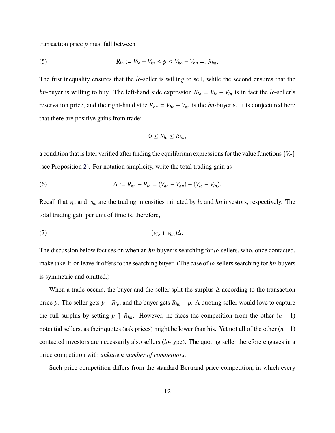<span id="page-13-2"></span>transaction price *p* must fall between

(5) 
$$
R_{lo} := V_{lo} - V_{ln} \le p \le V_{ho} - V_{hn} =: R_{hn}.
$$

The first inequality ensures that the *lo*-seller is willing to sell, while the second ensures that the *hn*-buyer is willing to buy. The left-hand side expression  $R_{l0} = V_{l0} - V_{ln}$  is in fact the *lo*-seller's reservation price, and the right-hand side  $R_{hn} = V_{ho} - V_{hn}$  is the *hn*-buyer's. It is conjectured here that there are positive gains from trade:

$$
0\leq R_{lo}\leq R_{hn},
$$

a condition that is later verified after finding the equilibrium expressions for the value functions  $\{V_\sigma\}$ (see Proposition [2](#page-19-0)). For notation simplicity, write the total trading gain as

<span id="page-13-1"></span>(6) 
$$
\Delta := R_{hn} - R_{lo} = (V_{ho} - V_{hn}) - (V_{lo} - V_{ln}).
$$

Recall that *νlo* and *νhn* are the trading intensities initiated by *lo* and *hn* investors, respectively. The total trading gain per unit of time is, therefore,

<span id="page-13-0"></span>(7) (*νlo* + *νhn*)∆.

The discussion below focuses on when an *hn*-buyer is searching for*lo*-sellers, who, once contacted, make take-it-or-leave-it offers to the searching buyer. (The case of*lo*-sellers searching for *hn*-buyers is symmetric and omitted.)

When a trade occurs, the buyer and the seller split the surplus  $\Delta$  according to the transaction price *p*. The seller gets  $p - R_{lo}$ , and the buyer gets  $R_{hn} - p$ . A quoting seller would love to capture the full surplus by setting  $p \uparrow R_{hn}$ . However, he faces the competition from the other  $(n-1)$ potential sellers, as their quotes (ask prices) might be lower than his. Yet not all of the other (*n* − 1) contacted investors are necessarily also sellers (*lo*-type). The quoting seller therefore engages in a price competition with *unknown number of competitors*.

Such price competition differs from the standard Bertrand price competition, in which every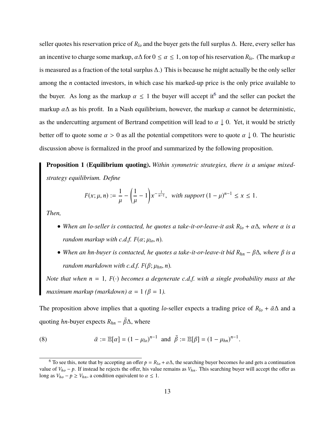seller quotes his reservation price of *Rlo* and the buyer gets the full surplus ∆. Here, every seller has an incentive to charge some markup,  $\alpha \Delta$  for  $0 \le \alpha \le 1$ , on top of his reservation  $R_{l_0}$ . (The markup  $\alpha$ is measured as a fraction of the total surplus ∆.) This is because he might actually be the only seller among the *n* contacted investors, in which case his marked-up price is the only price available to the buyer. As long as the markup  $\alpha \leq 1$  the buyer will accept it<sup>[6](#page-14-0)</sup> and the seller can pocket the markup  $\alpha\Delta$  as his profit. In a Nash equilibrium, however, the markup  $\alpha$  cannot be deterministic, as the undercutting argument of Bertrand competition will lead to  $\alpha \downarrow 0$ . Yet, it would be strictly better off to quote some  $\alpha > 0$  as all the potential competitors were to quote  $\alpha \downarrow 0$ . The heuristic discussion above is formalized in the proof and summarized by the following proposition.

<span id="page-14-1"></span>**Proposition 1 (Equilibrium quoting).** *Within symmetric strategies, there is a unique mixedstrategy equilibrium. Define*

$$
F(x; \mu, n) := \frac{1}{\mu} - \left(\frac{1}{\mu} - 1\right) x^{-\frac{1}{n-1}}, \text{ with support } (1 - \mu)^{n-1} \le x \le 1.
$$

*Then,*

- *• When an lo-seller is contacted, he quotes a take-it-or-leave-it ask Rlo* + *α*∆*, where α is a random markup with c.d.f.*  $F(\alpha; \mu_{l_0}, n)$ .
- *• When an hn-buyer is contacted, he quotes a take-it-or-leave-it bid Rhn* − *β*∆*, where β is a random markdown with c.d.f.*  $F(\beta; \mu_{hn}, n)$ .

*Note that when*  $n = 1$ ,  $F(\cdot)$  *becomes a degenerate c.d.f. with a single probability mass at the maximum markup (markdown)*  $\alpha = 1$  ( $\beta = 1$ ).

The proposition above implies that a quoting *lo*-seller expects a trading price of  $R_{l0} + \bar{\alpha}\Delta$  and a quoting *hn*-buyer expects  $R_{hn} - \bar{\beta}\Delta$ , where

<span id="page-14-2"></span>(8) 
$$
\bar{\alpha} := \mathbb{E}[\alpha] = (1 - \mu_{lo})^{n-1}
$$
 and  $\bar{\beta} := \mathbb{E}[\beta] = (1 - \mu_{hn})^{n-1}$ .

<span id="page-14-0"></span><sup>&</sup>lt;sup>6</sup> To see this, note that by accepting an offer  $p = R_{l0} + \alpha \Delta$ , the searching buyer becomes *ho* and gets a continuation value of  $V_{ho} - p$ . If instead he rejects the offer, his value remains as  $V_{hn}$ . This searching buyer will accept the offer as long as  $V_{ho} - p \geq V_{hn}$ , a condition equivalent to  $\alpha \leq 1$ .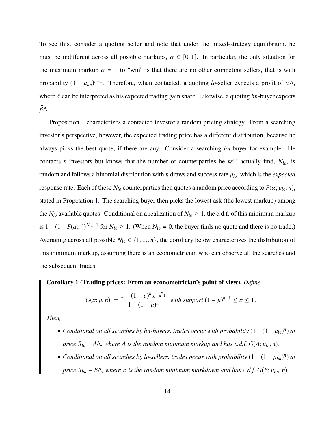To see this, consider a quoting seller and note that under the mixed-strategy equilibrium, he must be indifferent across all possible markups,  $\alpha \in [0, 1]$ . In particular, the only situation for the maximum markup  $\alpha = 1$  to "win" is that there are no other competing sellers, that is with probability  $(1 - \mu_{hn})^{n-1}$ . Therefore, when contacted, a quoting *lo*-seller expects a profit of  $\bar{\alpha}\Delta$ , where  $\bar{\alpha}$  can be interpreted as his expected trading gain share. Likewise, a quoting *hn*-buyer expects ¯*β*∆.

Proposition [1](#page-14-1) characterizes a contacted investor's random pricing strategy. From a searching investor's perspective, however, the expected trading price has a different distribution, because he always picks the best quote, if there are any. Consider a searching *hn*-buyer for example. He contacts *n* investors but knows that the number of counterparties he will actually find, *Nlo*, is random and follows a binomial distribution with *n* draws and success rate *µlo*, which is the *expected* response rate. Each of these  $N_l$ <sup>o</sup> counterparties then quotes a random price according to  $F(\alpha; \mu_l$ <sup>o</sup>, *n*), stated in Proposition [1](#page-14-1). The searching buyer then picks the lowest ask (the lowest markup) among the  $N_{l_0}$  available quotes. Conditional on a realization of  $N_{l_0} \geq 1$ , the c.d.f. of this minimum markup is  $1 - (1 - F(\alpha; \cdot))^{N_{lo} - 1}$  for  $N_{lo} \ge 1$ . (When  $N_{lo} = 0$ , the buyer finds no quote and there is no trade.) Averaging across all possible  $N_{l_0} \in \{1, ..., n\}$ , the corollary below characterizes the distribution of this minimum markup, assuming there is an econometrician who can observe all the searches and the subsequent trades.

#### <span id="page-15-0"></span>**Corollary 1 (Trading prices: From an econometrician's point of view).** *Define*

$$
G(x; \mu, n) := \frac{1 - (1 - \mu)^n x^{-\frac{n}{n-1}}}{1 - (1 - \mu)^n} \text{ with support } (1 - \mu)^{n-1} \le x \le 1.
$$

*Then,*

- *• Conditional on all searches by hn-buyers, trades occur with probability* (1 − (1 − *µlo*) *n* ) *at price*  $R_{l0}$  +  $A\Delta$ *, where A is the random minimum markup and has c.d.f.*  $G(A; \mu_{l0}, n)$ *.*
- *• Conditional on all searches by lo-sellers, trades occur with probability* (1 − (1 − *µhn*) *n* ) *at price*  $R_{hn} - B\Delta$ *, where B is the random minimum markdown and has c.d.f.*  $G(B; \mu_{hn}, n)$ *.*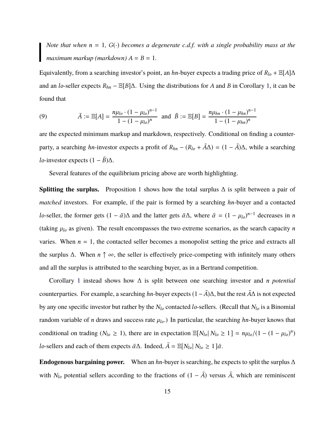*Note that when*  $n = 1$ ,  $G(\cdot)$  *becomes a degenerate c.d.f. with a single probability mass at the maximum markup (markdown)*  $A = B = 1$ .

Equivalently, from a searching investor's point, an *hn*-buyer expects a trading price of  $R_{l0}$  + E[A] $\Delta$ and an *lo*-seller expects *Rhn* − E[*B*]∆. Using the distributions for *A* and *B* in Corollary [1,](#page-15-0) it can be found that

<span id="page-16-0"></span>(9) 
$$
\bar{A} := \mathbb{E}[A] = \frac{n\mu_{lo} \cdot (1 - \mu_{lo})^{n-1}}{1 - (1 - \mu_{lo})^n} \text{ and } \bar{B} := \mathbb{E}[B] = \frac{n\mu_{hn} \cdot (1 - \mu_{hn})^{n-1}}{1 - (1 - \mu_{hn})^n}
$$

are the expected minimum markup and markdown, respectively. Conditional on finding a counterparty, a searching *hn*-investor expects a profit of  $R_{hn} - (R_{lo} + \bar{A}\Delta) = (1 - \bar{A})\Delta$ , while a searching *lo*-investor expects  $(1 - \bar{B})\Delta$ .

Several features of the equilibrium pricing above are worth highlighting.

Splitting the surplus. Proposition [1](#page-14-1) shows how the total surplus  $\Delta$  is split between a pair of *matched* investors. For example, if the pair is formed by a searching *hn*-buyer and a contacted *lo*-seller, the former gets  $(1 - \bar{\alpha})\Delta$  and the latter gets  $\bar{\alpha}\Delta$ , where  $\bar{\alpha} = (1 - \mu_{lo})^{n-1}$  decreases in *n* (taking  $\mu_{lo}$  as given). The result encompasses the two extreme scenarios, as the search capacity *n* varies. When  $n = 1$ , the contacted seller becomes a monopolist setting the price and extracts all the surplus ∆. When *n* ↑ ∞, the seller is effectively price-competing with infinitely many others and all the surplus is attributed to the searching buyer, as in a Bertrand competition.

Corollary [1](#page-15-0) instead shows how ∆ is split between one searching investor and *n potential* counterparties. For example, a searching *hn*-buyer expects  $(1 – \bar{A})\Delta$ , but the rest  $\bar{A}\Delta$  is not expected by any one specific investor but rather by the *Nlo* contacted *lo*-sellers. (Recall that *Nlo* is a Binomial random variable of *n* draws and success rate  $\mu_{lo}$ .) In particular, the searching *hn*-buyer knows that conditional on trading ( $N_{lo} \ge 1$ ), there are in expectation  $\mathbb{E}[N_{lo}| N_{lo} \ge 1] = n\mu_{lo}/(1 - (1 - \mu_{lo})^n)$ *lo*-sellers and each of them expects  $\bar{\alpha}\Delta$ . Indeed,  $\bar{A} = \mathbb{E}[N_{lo}|N_{lo} \ge 1 | \bar{\alpha}$ .

<span id="page-16-1"></span>**Endogenous bargaining power.** When an *hn*-buyer is searching, he expects to split the surplus ∆ with *N*<sup>*l*</sup><sup>0</sup> potential sellers according to the fractions of  $(1 - \overline{A})$  versus  $\overline{A}$ , which are reminiscent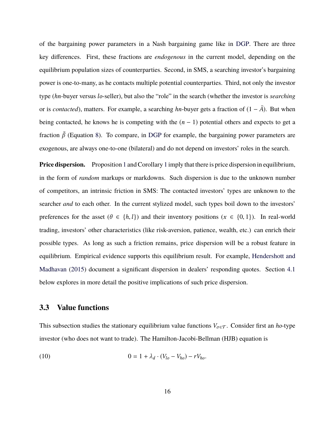of the bargaining power parameters in a Nash bargaining game like in [DGP.](#page-49-0) There are three key differences. First, these fractions are *endogenous* in the current model, depending on the equilibrium population sizes of counterparties. Second, in SMS, a searching investor's bargaining power is one-to-many, as he contacts multiple potential counterparties. Third, not only the investor type (*hn*-buyer versus*lo*-seller), but also the "role" in the search (whether the investor is *searching* or is *contacted*), matters. For example, a searching *hn*-buyer gets a fraction of  $(1 - \overline{A})$ . But when being contacted, he knows he is competing with the  $(n - 1)$  potential others and expects to get a fraction  $\bar{\beta}$  (Equation [8](#page-14-2)). To compare, in [DGP](#page-49-0) for example, the bargaining power parameters are exogenous, are always one-to-one (bilateral) and do not depend on investors' roles in the search.

**Price dispersion.** Proposition [1](#page-15-0) and Corollary 1 imply that there is price dispersion in equilibrium, in the form of *random* markups or markdowns. Such dispersion is due to the unknown number of competitors, an intrinsic friction in SMS: The contacted investors' types are unknown to the searcher *and* to each other. In the current stylized model, such types boil down to the investors' preferences for the asset ( $\theta \in \{h, l\}$ ) and their inventory positions ( $x \in \{0, 1\}$ ). In real-world trading, investors' other characteristics (like risk-aversion, patience, wealth, etc.) can enrich their possible types. As long as such a friction remains, price dispersion will be a robust feature in equilibrium. Empirical evidence supports this equilibrium result. For example, [Hendershott and](#page-50-0) [Madhavan](#page-50-0) [\(2015\)](#page-50-0) document a significant dispersion in dealers' responding quotes. Section [4.1](#page-20-0) below explores in more detail the positive implications of such price dispersion.

### **3.3 Value functions**

This subsection studies the stationary equilibrium value functions  $V_{\sigma \in \mathcal{T}}$ . Consider first an *ho*-type investor (who does not want to trade). The Hamilton-Jacobi-Bellman (HJB) equation is

<span id="page-17-0"></span>(10) 
$$
0 = 1 + \lambda_d \cdot (V_{lo} - V_{ho}) - rV_{ho}.
$$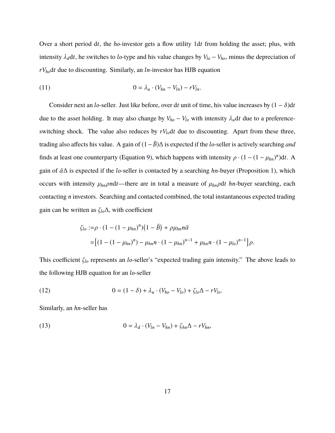Over a short period d*t*, the *ho*-investor gets a flow utility 1d*t* from holding the asset; plus, with intensity  $\lambda_d dt$ , he switches to *lo*-type and his value changes by  $V_{lo} - V_{ho}$ , minus the depreciation of *rVho*d*t* due to discounting. Similarly, an *ln*-investor has HJB equation

<span id="page-18-1"></span>
$$
(11) \t\t\t 0 = \lambda_u \cdot (V_{hn} - V_{ln}) - rV_{ln}.
$$

Consider next an *lo*-seller. Just like before, over dt unit of time, his value increases by  $(1 - \delta)dt$ due to the asset holding. It may also change by  $V_{ho} - V_{lo}$  with intensity  $\lambda_u dt$  due to a preferenceswitching shock. The value also reduces by  $rV_{lo}dt$  due to discounting. Apart from these three, trading also affects his value. A gain of  $(1-\bar{B})\Delta$  is expected if the *lo*-seller is actively searching *and* finds at least one counterparty (Equation [9](#page-16-0)), which happens with intensity  $\rho \cdot (1 - (1 - \mu_{hn})^n)dt$ . A gain of *α*¯∆ is expected if the *lo*-seller is contacted by a searching *hn*-buyer (Proposition [1\)](#page-14-1), which occurs with intensity  $\mu_{hn}$ *pn*dt—there are in total a measure of  $\mu_{hn}$ *pdt hn*-buyer searching, each contacting *n* investors. Searching and contacted combined, the total instantaneous expected trading gain can be written as *ζlo*∆, with coefficient

$$
\zeta_{lo} := \rho \cdot (1 - (1 - \mu_{hn})^n) \left(1 - \bar{B}\right) + \rho \mu_{hn} n \bar{\alpha}
$$
  
=  $\left[ (1 - (1 - \mu_{hn})^n) - \mu_{hn} n \cdot (1 - \mu_{hn})^{n-1} + \mu_{hn} n \cdot (1 - \mu_{lo})^{n-1} \right] \rho.$ 

This coefficient *ζlo* represents an *lo*-seller's "expected trading gain intensity." The above leads to the following HJB equation for an *lo*-seller

<span id="page-18-2"></span>(12) 
$$
0 = (1 - \delta) + \lambda_u \cdot (V_{ho} - V_{lo}) + \zeta_{lo} \Delta - rV_{lo}.
$$

<span id="page-18-0"></span>Similarly, an *hn*-seller has

(13) 
$$
0 = \lambda_d \cdot (V_{ln} - V_{hn}) + \zeta_{hn} \Delta - rV_{hn},
$$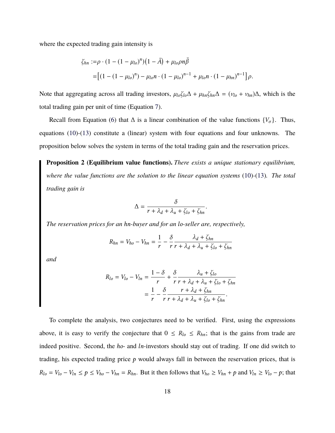where the expected trading gain intensity is

$$
\zeta_{hn} := \rho \cdot (1 - (1 - \mu_{lo})^n) \left(1 - \bar{A}\right) + \mu_{lo} \rho n \bar{\beta}
$$
  
=  $\left[ (1 - (1 - \mu_{lo})^n) - \mu_{lo} n \cdot (1 - \mu_{lo})^{n-1} + \mu_{lo} n \cdot (1 - \mu_{hn})^{n-1} \right] \rho.$ 

Note that aggregating across all trading investors,  $\mu_{lo}\zeta_{lo}\Delta + \mu_{hn}\zeta_{hn}\Delta = (v_{lo} + v_{hn})\Delta$ , which is the total trading gain per unit of time (Equation [7](#page-13-0)).

Recall from Equation ([6\)](#page-13-1) that  $\Delta$  is a linear combination of the value functions  $\{V_{\sigma}\}\$ . Thus, equations ([10\)](#page-17-0)-([13\)](#page-18-0) constitute a (linear) system with four equations and four unknowns. The proposition below solves the system in terms of the total trading gain and the reservation prices.

<span id="page-19-0"></span>**Proposition 2 (Equilibrium value functions).** *There exists a unique stationary equilibrium, where the value functions are the solution to the linear equation systems* ([10\)](#page-17-0)*-*([13\)](#page-18-0)*. The total trading gain is*

$$
\Delta = \frac{\delta}{r + \lambda_d + \lambda_u + \zeta_{lo} + \zeta_{hn}}
$$

.

*The reservation prices for an hn-buyer and for an lo-seller are, respectively,*

$$
R_{hn} = V_{ho} - V_{hn} = \frac{1}{r} - \frac{\delta}{r} \frac{\lambda_d + \zeta_{hn}}{r + \lambda_d + \lambda_u + \zeta_{lo} + \zeta_{hn}}
$$

*and*

$$
R_{lo} = V_{lo} - V_{ln} = \frac{1 - \delta}{r} + \frac{\delta}{r} \frac{\lambda_u + \zeta_{lo}}{r + \lambda_d + \lambda_u + \zeta_{lo} + \zeta_{hn}}
$$
  
= 
$$
\frac{1}{r} - \frac{\delta}{r} \frac{r + \lambda_d + \zeta_{hn}}{r + \lambda_d + \lambda_u + \zeta_{lo} + \zeta_{hn}}.
$$

To complete the analysis, two conjectures need to be verified. First, using the expressions above, it is easy to verify the conjecture that  $0 \leq R_{lo} \leq R_{hn}$ ; that is the gains from trade are indeed positive. Second, the *ho*- and *ln*-investors should stay out of trading. If one did switch to trading, his expected trading price *p* would always fall in between the reservation prices, that is  $R_{lo} = V_{lo} - V_{ln} \le p \le V_{ho} - V_{hn} = R_{hn}$ . But it then follows that  $V_{ho} \ge V_{hn} + p$  and  $V_{ln} \ge V_{lo} - p$ ; that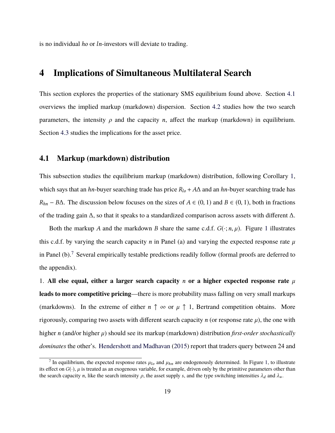is no individual *ho* or *ln*-investors will deviate to trading.

## **4 Implications of Simultaneous Multilateral Search**

This section explores the properties of the stationary SMS equilibrium found above. Section [4.1](#page-20-0) overviews the implied markup (markdown) dispersion. Section [4.2](#page-24-0) studies how the two search parameters, the intensity  $\rho$  and the capacity *n*, affect the markup (markdown) in equilibrium. Section [4.3](#page-27-0) studies the implications for the asset price.

### <span id="page-20-0"></span>**4.1 Markup (markdown) distribution**

This subsection studies the equilibrium markup (markdown) distribution, following Corollary [1](#page-15-0), which says that an *hn*-buyer searching trade has price *Rlo* +*A*∆ and an *hn*-buyer searching trade has *R*<sub>*hn*</sub> − *B* $\Delta$ . The discussion below focuses on the sizes of *A* ∈ (0, 1) and *B* ∈ (0, 1), both in fractions of the trading gain ∆, so that it speaks to a standardized comparison across assets with different ∆.

Both the markup *A* and the markdown *B* share the same c.d.f.  $G(\cdot; n, \mu)$ . Figure [1](#page-21-0) illustrates this c.d.f. by varying the search capacity *n* in Panel (a) and varying the expected response rate  $\mu$ in Panel (b).[7](#page-20-1) Several empirically testable predictions readily follow (formal proofs are deferred to the appendix).

1. All else equal, either a larger search capacity *n* or a higher expected response rate  $\mu$ **leads to more competitive pricing**—there is more probability mass falling on very small markups (markdowns). In the extreme of either  $n \uparrow \infty$  or  $\mu \uparrow 1$ , Bertrand competition obtains. More rigorously, comparing two assets with different search capacity *n* (or response rate  $\mu$ ), the one with higher *n* (and/or higher *µ*) should see its markup (markdown) distribution *first-order stochastically dominates* the other's. [Hendershott and Madhavan](#page-50-0) [\(2015\)](#page-50-0) report that traders query between 24 and

<span id="page-20-1"></span><sup>&</sup>lt;sup>7</sup> In equilibrium, the expected response rates  $\mu_{lo}$  and  $\mu_{hn}$  are endogenously determined. In Figure [1](#page-21-0), to illustrate its effect on  $G(\cdot)$ ,  $\mu$  is treated as an exogenous variable, for example, driven only by the primitive parameters other than the search capacity *n*, like the search intensity  $\rho$ , the asset supply *s*, and the type switching intensities  $\lambda_d$  and  $\lambda_u$ .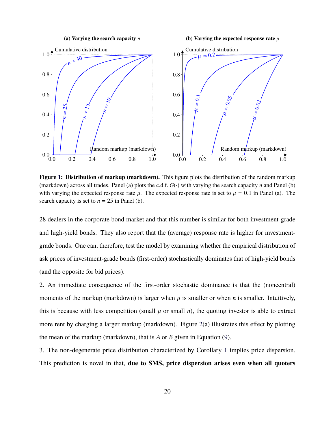**(a) Varying the search capacity** *n*

**(b) Varying the expected response rate** *µ*

<span id="page-21-0"></span>

**Figure [1](#page-21-0): Distribution of markup (markdown).** This figure plots the distribution of the random markup (markdown) across all trades. Panel (a) plots the c.d.f. *G*(·) with varying the search capacity *n* and Panel (b) with varying the expected response rate  $\mu$ . The expected response rate is set to  $\mu = 0.1$  in Panel (a). The search capacity is set to  $n = 25$  in Panel (b).

28 dealers in the corporate bond market and that this number is similar for both investment-grade and high-yield bonds. They also report that the (average) response rate is higher for investmentgrade bonds. One can, therefore, test the model by examining whether the empirical distribution of ask prices of investment-grade bonds (first-order) stochastically dominates that of high-yield bonds (and the opposite for bid prices).

2. An immediate consequence of the first-order stochastic dominance is that the (noncentral) moments of the markup (markdown) is larger when  $\mu$  is smaller or when *n* is smaller. Intuitively, this is because with less competition (small  $\mu$  or small  $n$ ), the quoting investor is able to extract more rent by charging a larger markup (markdown). Figure [2](#page-22-0)(a) illustrates this effect by plotting the mean of the markup (markdown), that is  $\bar{A}$  or  $\bar{B}$  given in Equation [\(9](#page-16-0)).

3. The non-degenerate price distribution characterized by Corollary [1](#page-15-0) implies price dispersion. This prediction is novel in that, **due to SMS, price dispersion arises even when all quoters**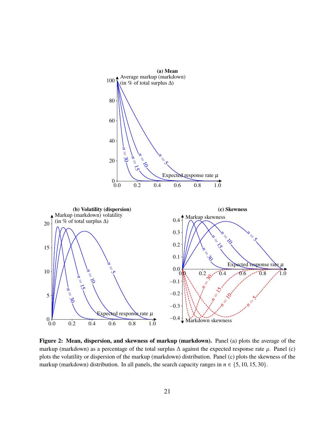<span id="page-22-0"></span>

**Figure [2:](#page-22-0) Mean, dispersion, and skewness of markup (markdown).** Panel (a) plots the average of the markup (markdown) as a percentage of the total surplus ∆ against the expected response rate *µ*. Panel (c) plots the volatility or dispersion of the markup (markdown) distribution. Panel (c) plots the skewness of the markup (markdown) distribution. In all panels, the search capacity ranges in  $n \in \{5, 10, 15, 30\}$ .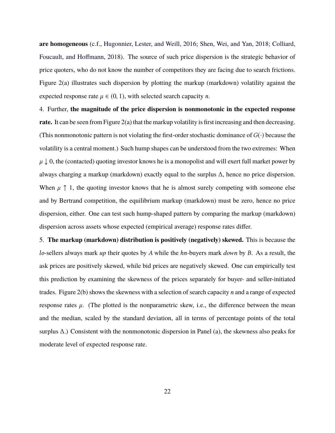**are homogeneous** (c.f., [Hugonnier, Lester, and Weill,](#page-50-6) [2016;](#page-50-6) [Shen, Wei, and Yan,](#page-50-7) [2018](#page-50-7); [Colliard,](#page-49-5) [Foucault, and Hoffmann,](#page-49-5) [2018](#page-49-5)). The source of such price dispersion is the strategic behavior of price quoters, who do not know the number of competitors they are facing due to search frictions. Figure [2](#page-22-0)(a) illustrates such dispersion by plotting the markup (markdown) volatility against the expected response rate  $\mu \in (0, 1)$ , with selected search capacity *n*.

4. Further, **the magnitude of the price dispersion is nonmonotonic in the expected response rate.** It can be seen from Figure [2\(](#page-22-0)a) that the markup volatility is first increasing and then decreasing. (This nonmonotonic pattern is not violating the first-order stochastic dominance of*G*(·) because the volatility is a central moment.) Such hump shapes can be understood from the two extremes: When  $\mu \downarrow 0$ , the (contacted) quoting investor knows he is a monopolist and will exert full market power by always charging a markup (markdown) exactly equal to the surplus ∆, hence no price dispersion. When  $\mu \uparrow 1$ , the quoting investor knows that he is almost surely competing with someone else and by Bertrand competition, the equilibrium markup (markdown) must be zero, hence no price dispersion, either. One can test such hump-shaped pattern by comparing the markup (markdown) dispersion across assets whose expected (empirical average) response rates differ.

5. **The markup (markdown) distribution is positively (negatively) skewed.** This is because the *lo*-sellers always mark *up* their quotes by *A* while the *hn*-buyers mark *down* by *B*. As a result, the ask prices are positively skewed, while bid prices are negatively skewed. One can empirically test this prediction by examining the skewness of the prices separately for buyer- and seller-initiated trades. Figure [2\(](#page-22-0)b) shows the skewness with a selection of search capacity *n* and a range of expected response rates  $\mu$ . (The plotted is the nonparametric skew, i.e., the difference between the mean and the median, scaled by the standard deviation, all in terms of percentage points of the total surplus ∆.) Consistent with the nonmonotonic dispersion in Panel (a), the skewness also peaks for moderate level of expected response rate.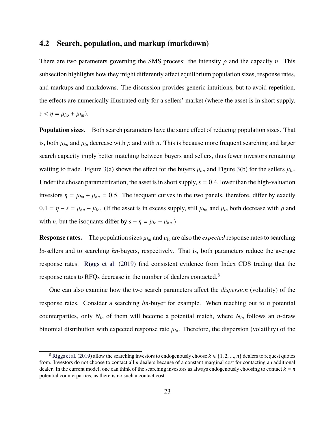### <span id="page-24-0"></span>**4.2 Search, population, and markup (markdown)**

There are two parameters governing the SMS process: the intensity  $\rho$  and the capacity  $n$ . This subsection highlights how they might differently affect equilibrium population sizes, response rates, and markups and markdowns. The discussion provides generic intuitions, but to avoid repetition, the effects are numerically illustrated only for a sellers' market (where the asset is in short supply,  $s < \eta = \mu_{ho} + \mu_{hn}$ ).

**Population sizes.** Both search parameters have the same effect of reducing population sizes. That is, both  $\mu_{hn}$  and  $\mu_{lo}$  decrease with  $\rho$  and with *n*. This is because more frequent searching and larger search capacity imply better matching between buyers and sellers, thus fewer investors remaining waiting to trade. Figure [3\(](#page-25-0)a) shows the effect for the buyers  $\mu_{hn}$  and Figure 3(b) for the sellers  $\mu_{lo}$ . Under the chosen parametrization, the asset is in short supply,  $s = 0.4$ , lower than the high-valuation investors  $\eta = \mu_{ho} + \mu_{hn} = 0.5$ . The isoquant curves in the two panels, therefore, differ by exactly  $0.1 = \eta - s = \mu_{hn} - \mu_{lo}$ . (If the asset is in excess supply, still  $\mu_{hn}$  and  $\mu_{lo}$  both decrease with  $\rho$  and with *n*, but the isoquants differ by  $s - \eta = \mu_{lo} - \mu_{hn}$ .)

**Response rates.** The population sizes  $\mu_{hn}$  and  $\mu_{lo}$  are also the *expected* response rates to searching *lo*-sellers and to searching *hn*-buyers, respectively. That is, both parameters reduce the average response rates. [Riggs et al.](#page-50-2) ([2019\)](#page-50-2) find consistent evidence from Index CDS trading that the response rates to RFQs decrease in the number of dealers contacted.[8](#page-24-1)

One can also examine how the two search parameters affect the *dispersion* (volatility) of the response rates. Consider a searching *hn*-buyer for example. When reaching out to *n* potential counterparties, only  $N_l$  of them will become a potential match, where  $N_l$  follows an *n*-draw binomial distribution with expected response rate  $\mu_{lo}$ . Therefore, the dispersion (volatility) of the

<span id="page-24-1"></span><sup>&</sup>lt;sup>8</sup> [Riggs et al.](#page-50-2) ([2019\)](#page-50-2) allow the searching investors to endogenously choose  $k \in \{1, 2, ..., n\}$  dealers to request quotes from. Investors do not choose to contact all *n* dealers because of a constant marginal cost for contacting an additional dealer. In the current model, one can think of the searching investors as always endogenously choosing to contact  $k = n$ potential counterparties, as there is no such a contact cost.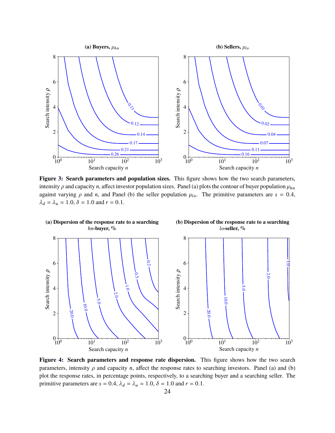<span id="page-25-0"></span>

**Figure [3:](#page-25-0) Search parameters and population sizes.** This figure shows how the two search parameters, intensity  $\rho$  and capacity *n*, affect investor population sizes. Panel (a) plots the contour of buyer population  $\mu_{hn}$ against varying  $\rho$  and *n*, and Panel (b) the seller population  $\mu_{lo}$ . The primitive parameters are  $s = 0.4$ ,  $\lambda_d = \lambda_u = 1.0, \delta = 1.0$  and  $r = 0.1$ .



**Figure [4:](#page-25-0) Search parameters and response rate dispersion.** This figure shows how the two search parameters, intensity  $\rho$  and capacity *n*, affect the response rates to searching investors. Panel (a) and (b) plot the response rates, in percentage points, respectively, to a searching buyer and a searching seller. The primitive parameters are  $s = 0.4$ ,  $\lambda_d = \lambda_u = 1.0$ ,  $\delta = 1.0$  and  $r = 0.1$ .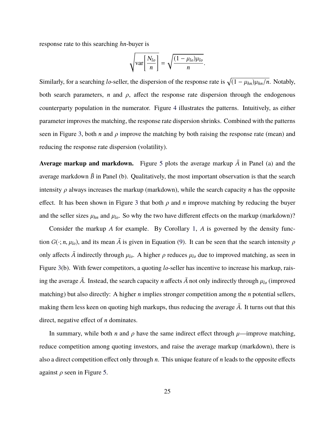response rate to this searching *hn*-buyer is

$$
\sqrt{\operatorname{var}\left[\frac{N_{lo}}{n}\right]} = \sqrt{\frac{(1-\mu_{lo})\mu_{lo}}{n}}.
$$

Similarly, for a searching *lo*-seller, the dispersion of the response rate is  $\sqrt{(1 - \mu_{hn})\mu_{hn}/n}$ . Notably, both search parameters, *n* and  $\rho$ , affect the response rate dispersion through the endogenous counterparty population in the numerator. Figure [4](#page-25-0) illustrates the patterns. Intuitively, as either parameter improves the matching, the response rate dispersion shrinks. Combined with the patterns seen in Figure [3](#page-25-0), both *n* and  $\rho$  improve the matching by both raising the response rate (mean) and reducing the response rate dispersion (volatility).

**Average markup and markdown.** Figure [5](#page-27-1) plots the average markup  $\overline{A}$  in Panel (a) and the average markdown  $\bar{B}$  in Panel (b). Qualitatively, the most important observation is that the search intensity *ρ* always increases the markup (markdown), while the search capacity *n* has the opposite effect. It has been shown in Figure [3](#page-25-0) that both  $\rho$  and  $n$  improve matching by reducing the buyer and the seller sizes  $\mu_{hn}$  and  $\mu_{lo}$ . So why the two have different effects on the markup (markdown)?

Consider the markup *A* for example. By Corollary [1,](#page-15-0) *A* is governed by the density function  $G(\cdot; n, \mu_{l_0})$ , and its mean  $\overline{A}$  is given in Equation ([9\)](#page-16-0). It can be seen that the search intensity  $\rho$ only affects  $\bar{A}$  indirectly through  $\mu_{lo}$ . A higher  $\rho$  reduces  $\mu_{lo}$  due to improved matching, as seen in Figure [3\(](#page-25-0)b). With fewer competitors, a quoting *lo*-seller has incentive to increase his markup, raising the average  $\bar{A}$ . Instead, the search capacity *n* affects  $\bar{A}$  not only indirectly through  $\mu_{lo}$  (improved matching) but also directly: A higher *n* implies stronger competition among the *n* potential sellers, making them less keen on quoting high markups, thus reducing the average  $\overline{A}$ . It turns out that this direct, negative effect of *n* dominates.

In summary, while both *n* and  $\rho$  have the same indirect effect through  $\mu$ —improve matching, reduce competition among quoting investors, and raise the average markup (markdown), there is also a direct competition effect only through *n*. This unique feature of *n* leads to the opposite effects against *ρ* seen in Figure [5.](#page-27-1)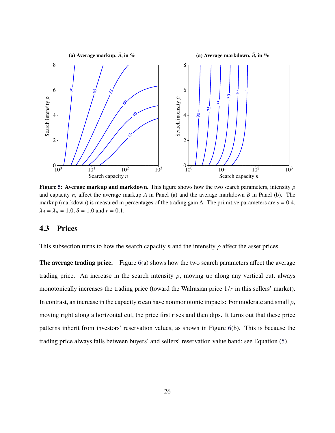<span id="page-27-1"></span>

**Figure [5:](#page-27-1) Average markup and markdown.** This figure shows how the two search parameters, intensity *ρ* and capacity *n*, affect the average markup  $\overline{A}$  in Panel (a) and the average markdown  $\overline{B}$  in Panel (b). The markup (markdown) is measured in percentages of the trading gain ∆. The primitive parameters are *s* = 0.4,  $\lambda_d = \lambda_u = 1.0, \delta = 1.0$  and  $r = 0.1$ .

### <span id="page-27-0"></span>**4.3 Prices**

This subsection turns to how the search capacity *n* and the intensity  $\rho$  affect the asset prices.

**The average trading price.** Figure [6](#page-28-0)(a) shows how the two search parameters affect the average trading price. An increase in the search intensity  $\rho$ , moving up along any vertical cut, always monotonically increases the trading price (toward the Walrasian price 1/*r* in this sellers' market). In contrast, an increase in the capacity *n* can have nonmonotonic impacts: For moderate and small *ρ*, moving right along a horizontal cut, the price first rises and then dips. It turns out that these price patterns inherit from investors' reservation values, as shown in Figure [6\(](#page-28-0)b). This is because the trading price always falls between buyers' and sellers' reservation value band; see Equation ([5\)](#page-13-2).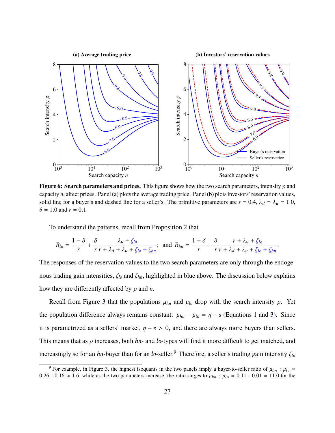<span id="page-28-0"></span>

**Figure [6](#page-28-0): Search parameters and prices.** This figure shows how the two search parameters, intensity *ρ* and capacity*n*, affect prices. Panel (a) plots the average trading price. Panel (b) plots investors' reservation values, solid line for a buyer's and dashed line for a seller's. The primitive parameters are  $s = 0.4$ ,  $\lambda_d = \lambda_u = 1.0$ ,  $\delta = 1.0$  and  $r = 0.1$ .

To understand the patterns, recall from Proposition [2](#page-19-0) that

$$
R_{lo} = \frac{1-\delta}{r} + \frac{\delta}{r} \frac{\lambda_u + \zeta_{lo}}{r + \lambda_d + \lambda_u + \zeta_{lo} + \zeta_{hn}}; \text{ and } R_{hn} = \frac{1-\delta}{r} + \frac{\delta}{r} \frac{r + \lambda_u + \zeta_{lo}}{r + \lambda_d + \lambda_u + \zeta_{lo} + \zeta_{hn}}.
$$

The responses of the reservation values to the two search parameters are only through the endogenous trading gain intensities, *ζlo* and *ζhn*, highlighted in blue above. The discussion below explains how they are differently affected by *ρ* and *n*.

Recall from Figure [3](#page-25-0) that the populations  $\mu_{hn}$  and  $\mu_{lo}$  drop with the search intensity  $\rho$ . Yet the population difference always remains constant:  $\mu_{hn} - \mu_{lo} = \eta - s$  (Equations [1](#page-11-1) and [3](#page-11-2)). Since it is parametrized as a sellers' market,  $\eta - s > 0$ , and there are always more buyers than sellers. This means that as *ρ* increases, both *hn*- and *lo*-types will find it more difficult to get matched, and increasingly so for an *hn*-buyer than for an *lo*-seller.[9](#page-28-1) Therefore, a seller's trading gain intensity *ζlo*

<span id="page-28-1"></span><sup>&</sup>lt;sup>9</sup> For example, in Figure [3](#page-25-0), the highest isoquants in the two panels imply a buyer-to-seller ratio of  $\mu_{hn}$ :  $\mu_{lo}$  = 0.26 : 0.16  $\approx$  1.6, while as the two parameters increase, the ratio surges to  $\mu_{hn}$  :  $\mu_{lo} = 0.11$  : 0.01 = 11.0 for the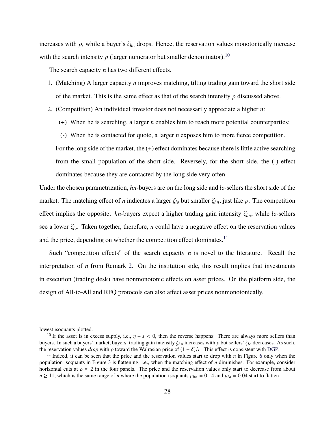increases with  $\rho$ , while a buyer's  $\zeta_{hn}$  drops. Hence, the reservation values monotonically increase with the search intensity  $\rho$  (larger numerator but smaller denominator).<sup>[10](#page-29-0)</sup>

The search capacity *n* has two different effects.

- 1. (Matching) A larger capacity *n* improves matching, tilting trading gain toward the short side of the market. This is the same effect as that of the search intensity  $\rho$  discussed above.
- 2. (Competition) An individual investor does not necessarily appreciate a higher *n*:
	- (+) When he is searching, a larger *n* enables him to reach more potential counterparties;
	- (-) When he is contacted for quote, a larger *n* exposes him to more fierce competition.

For the long side of the market, the (+) effect dominates because there is little active searching from the small population of the short side. Reversely, for the short side, the (-) effect dominates because they are contacted by the long side very often.

Under the chosen parametrization, *hn*-buyers are on the long side and *lo*-sellers the short side of the market. The matching effect of *n* indicates a larger *ζlo* but smaller *ζhn*, just like *ρ*. The competition effect implies the opposite: *hn*-buyers expect a higher trading gain intensity *ζhn*, while *lo*-sellers see a lower *ζlo*. Taken together, therefore, *n* could have a negative effect on the reservation values and the price, depending on whether the competition effect dominates.<sup>[11](#page-29-1)</sup>

Such "competition effects" of the search capacity *n* is novel to the literature. Recall the interpretation of *n* from Remark [2](#page-10-0). On the institution side, this result implies that investments in execution (trading desk) have nonmonotonic effects on asset prices. On the platform side, the design of All-to-All and RFQ protocols can also affect asset prices nonmonotonically.

lowest isoquants plotted.

<span id="page-29-0"></span><sup>&</sup>lt;sup>10</sup> If the asset is in excess supply, i.e.,  $\eta - s < 0$ , then the reverse happens: There are always more sellers than buyers. In such a buyers' market, buyers' trading gain intensity *ζhn* increases with *ρ* but sellers' *ζlo* decreases. As such, the reservation values *drop* with  $\rho$  toward the Walrasian price of  $(1 - \delta)/r$ . This effect is consistent with [DGP.](#page-49-0)

<span id="page-29-1"></span><sup>&</sup>lt;sup>11</sup> Indeed, it can be seen that the price and the reservation values start to drop with *n* in Figure [6](#page-28-0) only when the population isoquants in Figure [3](#page-25-0) is flattening, i.e., when the matching effect of *n* diminishes. For example, consider horizontal cuts at  $\rho \approx 2$  in the four panels. The price and the reservation values only start to decrease from about  $n \ge 11$ , which is the same range of *n* where the population isoquants  $\mu_{hn} = 0.14$  and  $\mu_{lo} = 0.04$  start to flatten.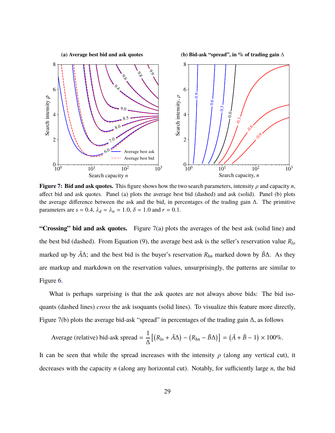<span id="page-30-0"></span>

**Figure [7:](#page-30-0)** Bid and ask quotes. This figure shows how the two search parameters, intensity  $\rho$  and capacity *n*, affect bid and ask quotes. Panel (a) plots the average best bid (dashed) and ask (solid). Panel (b) plots the average difference between the ask and the bid, in percentages of the trading gain ∆. The primitive parameters are  $s = 0.4$ ,  $\lambda_d = \lambda_u = 1.0$ ,  $\delta = 1.0$  and  $r = 0.1$ .

**"Crossing" bid and ask quotes.** Figure [7](#page-30-0)(a) plots the averages of the best ask (solid line) and the best bid (dashed). From Equation ([9\)](#page-16-0), the average best ask is the seller's reservation value *Rlo* marked up by  $\bar{A}\Delta$ ; and the best bid is the buyer's reservation  $R_{hn}$  marked down by  $\bar{B}\Delta$ . As they are markup and markdown on the reservation values, unsurprisingly, the patterns are similar to Figure [6](#page-28-0).

What is perhaps surprising is that the ask quotes are not always above bids: The bid isoquants (dashed lines) *cross* the ask isoquants (solid lines). To visualize this feature more directly, Figure [7](#page-30-0)(b) plots the average bid-ask "spread" in percentages of the trading gain ∆, as follows

Average (relative) bid-ask spread = 
$$
\frac{1}{\Delta} \left[ \left( R_{lo} + \bar{A}\Delta \right) - \left( R_{hn} - \bar{B}\Delta \right) \right] = \left( \bar{A} + \bar{B} - 1 \right) \times 100\%.
$$

It can be seen that while the spread increases with the intensity  $\rho$  (along any vertical cut), it decreases with the capacity *n* (along any horizontal cut). Notably, for sufficiently large *n*, the bid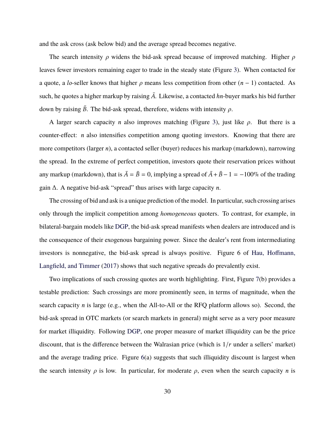and the ask cross (ask below bid) and the average spread becomes negative.

The search intensity *ρ* widens the bid-ask spread because of improved matching. Higher *ρ* leaves fewer investors remaining eager to trade in the steady state (Figure [3](#page-25-0)). When contacted for a quote, a *lo*-seller knows that higher *ρ* means less competition from other (*n* − 1) contacted. As such, he quotes a higher markup by raising  $\overline{A}$ . Likewise, a contacted *hn*-buyer marks his bid further down by raising  $\bar{B}$ . The bid-ask spread, therefore, widens with intensity *ρ*.

A larger search capacity *n* also improves matching (Figure [3](#page-25-0)), just like *ρ*. But there is a counter-effect: *n* also intensifies competition among quoting investors. Knowing that there are more competitors (larger *n*), a contacted seller (buyer) reduces his markup (markdown), narrowing the spread. In the extreme of perfect competition, investors quote their reservation prices without any markup (markdown), that is  $\overline{A} = \overline{B} = 0$ , implying a spread of  $\overline{A} + \overline{B} - 1 = -100\%$  of the trading gain ∆. A negative bid-ask "spread" thus arises with large capacity *n*.

The crossing of bid and ask is a unique prediction of the model. In particular, such crossing arises only through the implicit competition among *homogeneous* quoters. To contrast, for example, in bilateral-bargain models like [DGP](#page-49-0), the bid-ask spread manifests when dealers are introduced and is the consequence of their exogenous bargaining power. Since the dealer's rent from intermediating investors is nonnegative, the bid-ask spread is always positive. Figure 6 of [Hau, Hoffmann,](#page-50-3) [Langfield, and Timmer](#page-50-3) [\(2017](#page-50-3)) shows that such negative spreads do prevalently exist.

Two implications of such crossing quotes are worth highlighting. First, Figure [7\(](#page-30-0)b) provides a testable prediction: Such crossings are more prominently seen, in terms of magnitude, when the search capacity *n* is large (e.g., when the All-to-All or the RFQ platform allows so). Second, the bid-ask spread in OTC markets (or search markets in general) might serve as a very poor measure for market illiquidity. Following [DGP,](#page-49-0) one proper measure of market illiquidity can be the price discount, that is the difference between the Walrasian price (which is 1/*r* under a sellers' market) and the average trading price. Figure [6\(](#page-28-0)a) suggests that such illiquidity discount is largest when the search intensity  $\rho$  is low. In particular, for moderate  $\rho$ , even when the search capacity *n* is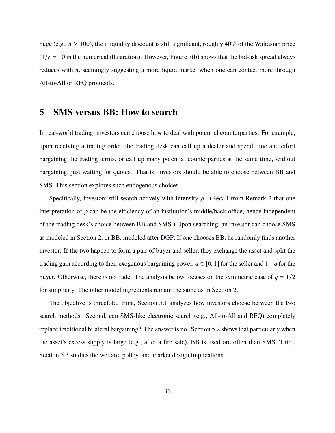huge (e.g.,  $n \ge 100$ ), the illiquidity discount is still significant, roughly 40% of the Walrasian price  $(1/r = 10$  in the numerical illustration). However, Figure [7\(](#page-30-0)b) shows that the bid-ask spread always reduces with *n*, seemingly suggesting a more liquid market when one can contact more through All-to-All or RFQ protocols.

## <span id="page-32-0"></span>**5 SMS versus BB: How to search**

In real-world trading, investors can choose how to deal with potential counterparties. For example, upon receiving a trading order, the trading desk can call up a dealer and spend time and effort bargaining the trading terms, or call up many potential counterparties at the same time, without bargaining, just waiting for quotes. That is, investors should be able to choose between BB and SMS. This section explores such endogenous choices.

Specifically, investors still search actively with intensity *ρ*. (Recall from Remark [2](#page-10-0) that one interpretation of  $\rho$  can be the efficiency of an institution's middle/back office, hence independent of the trading desk's choice between BB and SMS.) Upon searching, an investor can choose SMS as modeled in Section [2](#page-8-0), or BB, modeled after [DGP](#page-49-0): If one chooses BB, he randomly finds another investor. If the two happen to form a pair of buyer and seller, they exchange the asset and split the trading gain according to their exogenous bargaining power, *q* ∈ [0, 1] for the seller and 1−*q* for the buyer. Otherwise, there is no trade. The analysis below focuses on the symmetric case of  $q = 1/2$ for simplicity. The other model ingredients remain the same as in Section [2](#page-8-0).

The objective is threefold. First, Section [5.1](#page-33-0) analyzes how investors choose between the two search methods. Second, can SMS-like electronic search (e.g., All-to-All and RFQ) completely replace traditional bilateral bargaining? The answer is no. Section [5.2](#page-38-0) shows that particularly when the asset's excess supply is large (e.g., after a fire sale), BB is used ore often than SMS. Third, Section [5.3](#page-40-0) studies the welfare, policy, and market design implications.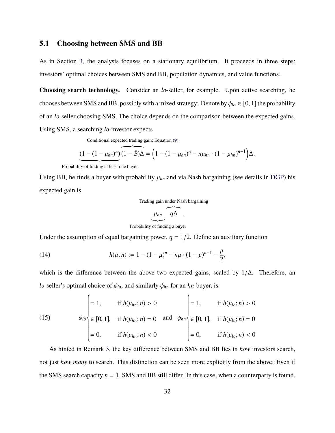### <span id="page-33-0"></span>**5.1 Choosing between SMS and BB**

As in Section [3](#page-11-0), the analysis focuses on a stationary equilibrium. It proceeds in three steps: investors' optimal choices between SMS and BB, population dynamics, and value functions.

**Choosing search technology.** Consider an *lo*-seller, for example. Upon active searching, he chooses between SMS and BB, possibly with a mixed strategy: Denote by  $\phi_{l_0} \in [0, 1]$  the probability of an *lo*-seller choosing SMS. The choice depends on the comparison between the expected gains. Using SMS, a searching *lo*-investor expects

Conditional expected trading gain; Equation ([9](#page-16-0))

$$
\underbrace{(1-(1-\mu_{hn})^n)}_{\text{Probability of finding at least one buyer}} \underbrace{(1-\overline{B})\Delta}_{\text{= (1-(1-\mu_{hn})^n - n\mu_{hn} \cdot (1-\mu_{hn})^{n-1}}) \Delta.
$$

Using BB, he finds a buyer with probability  $\mu_{hn}$  and via Nash bargaining (see details in [DGP\)](#page-49-0) his expected gain is

Trading gain under Nash bargaining

$$
\underbrace{\mu_{hn}}_{\sim} \underbrace{\overbrace{q\Delta}}_{\sim}.
$$

|{z} Probability of finding a buyer

Under the assumption of equal bargaining power,  $q = 1/2$ . Define an auxiliary function

<span id="page-33-2"></span>(14) 
$$
h(\mu;n) := 1 - (1 - \mu)^n - n\mu \cdot (1 - \mu)^{n-1} - \frac{\mu}{2},
$$

which is the difference between the above two expected gains, scaled by  $1/\Delta$ . Therefore, an *lo*-seller's optimal choice of  $\phi_{lo}$ , and similarly  $\phi_{hn}$  for an *hn*-buyer, is

<span id="page-33-1"></span>(15) 
$$
\phi_{lo} = \begin{cases} 1, & \text{if } h(\mu_{hn}; n) > 0 \\ \in [0, 1], & \text{if } h(\mu_{hn}; n) = 0 \text{ and } \phi_{hn} \\ = 0, & \text{if } h(\mu_{hn}; n) < 0 \end{cases} = 1, \text{ if } h(\mu_{lo}; n) > 0
$$

$$
= 0, \text{ if } h(\mu_{lo}; n) < 0
$$

$$
= 0, \text{ if } h(\mu_{lo}; n) < 0
$$

As hinted in Remark [3](#page-10-1), the key difference between SMS and BB lies in *how* investors search, not just *how many* to search. This distinction can be seen more explicitly from the above: Even if the SMS search capacity  $n = 1$ , SMS and BB still differ. In this case, when a counterparty is found,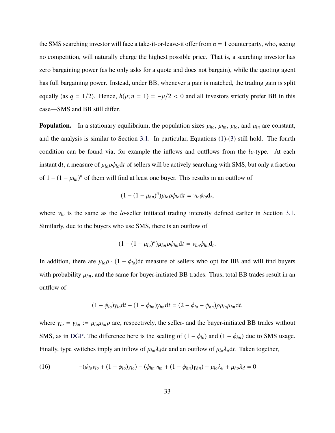the SMS searching investor will face a take-it-or-leave-it offer from *n* = 1 counterparty, who, seeing no competition, will naturally charge the highest possible price. That is, a searching investor has zero bargaining power (as he only asks for a quote and does not bargain), while the quoting agent has full bargaining power. Instead, under BB, whenever a pair is matched, the trading gain is split equally (as  $q = 1/2$ ). Hence,  $h(\mu; n = 1) = -\mu/2 < 0$  and all investors strictly prefer BB in this case—SMS and BB still differ.

**Population.** In a stationary equilibrium, the population sizes  $\mu_{ho}$ ,  $\mu_{hn}$ ,  $\mu_{lo}$ , and  $\mu_{ln}$  are constant, and the analysis is similar to Section [3.1.](#page-11-3) In particular, Equations [\(1](#page-11-1))-[\(3](#page-11-2)) still hold. The fourth condition can be found via, for example the inflows and outflows from the *lo*-type. At each instant dt, a measure of  $\mu_{lo} \rho \phi_{lo}$ dt of sellers will be actively searching with SMS, but only a fraction of  $1 - (1 - \mu_{hn})^n$  of them will find at least one buyer. This results in an outflow of

$$
(1-(1-\mu_{hn})^n)\mu_{lo}\rho\phi_{lo}dt = v_{lo}\phi_{lo}d_t,
$$

where *νlo* is the same as the *lo*-seller initiated trading intensity defined earlier in Section [3.1](#page-11-3). Similarly, due to the buyers who use SMS, there is an outflow of

$$
(1-(1-\mu_{lo})^n)\mu_{hn}\rho\phi_{hn}\mathrm{d}t=\nu_{hn}\phi_{hn}\mathrm{d}_t.
$$

In addition, there are  $\mu_{lo}\rho \cdot (1 - \phi_{lo})dt$  measure of sellers who opt for BB and will find buyers with probability  $\mu_{hn}$ , and the same for buyer-initiated BB trades. Thus, total BB trades result in an outflow of

$$
(1 - \phi_{lo})\gamma_{lo}dt + (1 - \phi_{hn})\gamma_{hn}dt = (2 - \phi_{lo} - \phi_{hn})\rho\mu_{lo}\mu_{hn}dt,
$$

where  $\gamma_{lo} = \gamma_{hn} := \mu_{lo} \mu_{hn} \rho$  are, respectively, the seller- and the buyer-initiated BB trades without SMS, as in [DGP.](#page-49-0) The difference here is the scaling of  $(1 - \phi_{lo})$  and  $(1 - \phi_{hn})$  due to SMS usage. Finally, type switches imply an inflow of  $\mu_{ho} \lambda_d dt$  and an outflow of  $\mu_{lo} \lambda_u dt$ . Taken together,

<span id="page-34-0"></span>(16) 
$$
-(\phi_{lo}v_{lo} + (1 - \phi_{lo})\gamma_{lo}) - (\phi_{hn}v_{hn} + (1 - \phi_{hn})\gamma_{hn}) - \mu_{lo}\lambda_u + \mu_{ho}\lambda_d = 0
$$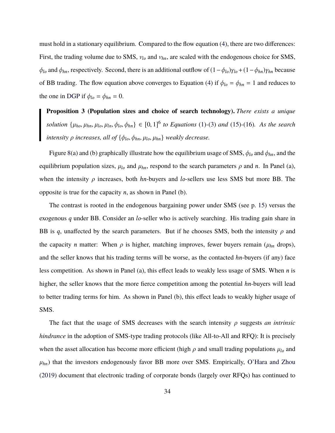must hold in a stationary equilibrium. Compared to the flow equation [\(4](#page-12-1)), there are two differences: First, the trading volume due to SMS, *νlo* and *νhn*, are scaled with the endogenous choice for SMS,  $\phi$ *lo* and  $\phi$ *hn*, respectively. Second, there is an additional outflow of  $(1 - \phi_{lo})\gamma_{lo} + (1 - \phi_{hn})\gamma_{hn}$  because of BB trading. The flow equation above converges to Equation [\(4](#page-12-1)) if  $\phi_{lo} = \phi_{hn} = 1$  and reduces to the one in [DGP](#page-49-0) if  $\phi_{lo} = \phi_{hn} = 0$ .

<span id="page-35-0"></span>**Proposition 3 (Population sizes and choice of search technology).** *There exists a unique* solution  $\{\mu_{ho}, \mu_{hn}, \mu_{lo}, \mu_{ln}, \phi_{lo}, \phi_{hn}\} \in [0, 1]^6$  to Equations [\(1](#page-11-1))-[\(3](#page-11-2)) and [\(15](#page-33-1))-([16\)](#page-34-0). As the search *intensity ρ increases, all of* {*φlo*, *φhn*, *µlo*, *µhn*} *weakly decrease.*

Figure [8](#page-36-0)(a) and (b) graphically illustrate how the equilibrium usage of SMS,  $\phi_{lo}$  and  $\phi_{hn}$ , and the equilibrium population sizes,  $\mu_{lo}$  and  $\mu_{hn}$ , respond to the search parameters  $\rho$  and  $n$ . In Panel (a), when the intensity *ρ* increases, both *hn*-buyers and *lo*-sellers use less SMS but more BB. The opposite is true for the capacity *n*, as shown in Panel (b).

The contrast is rooted in the endogenous bargaining power under SMS (see p. [15\)](#page-16-1) versus the exogenous *q* under BB. Consider an *lo*-seller who is actively searching. His trading gain share in BB is *q*, unaffected by the search parameters. But if he chooses SMS, both the intensity  $\rho$  and the capacity *n* matter: When  $\rho$  is higher, matching improves, fewer buyers remain ( $\mu_{hn}$  drops), and the seller knows that his trading terms will be worse, as the contacted *hn*-buyers (if any) face less competition. As shown in Panel (a), this effect leads to weakly less usage of SMS. When *n* is higher, the seller knows that the more fierce competition among the potential *hn*-buyers will lead to better trading terms for him. As shown in Panel (b), this effect leads to weakly higher usage of SMS.

The fact that the usage of SMS decreases with the search intensity *ρ* suggests *an intrinsic hindrance* in the adoption of SMS-type trading protocols (like All-to-All and RFQ): It is precisely when the asset allocation has become more efficient (high *ρ* and small trading populations *µlo* and  $\mu_{hn}$ ) that the investors endogenously favor BB more over SMS. Empirically, [O'Hara and Zhou](#page-50-1) ([2019\)](#page-50-1) document that electronic trading of corporate bonds (largely over RFQs) has continued to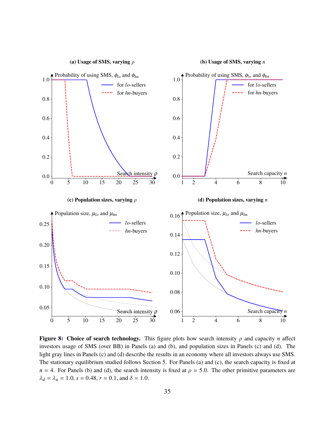<span id="page-36-0"></span>

**Figure [8](#page-36-0):** Choice of search technology. This figure plots how search intensity  $\rho$  and capacity *n* affect investors usage of SMS (over BB) in Panels (a) and (b), and population sizes in Panels (c) and (d). The light gray lines in Panels (c) and (d) describe the results in an economy where all investors always use SMS. The stationary equilibrium studied follows Section [5](#page-32-0). For Panels (a) and (c), the search capacity is fixed at  $n = 4$ . For Panels (b) and (d), the search intensity is fixed at  $\rho = 5.0$ . The other primitive parameters are  $\lambda_d = \lambda_u = 1.0$ ,  $s = 0.48$ ,  $r = 0.1$ , and  $\delta = 1.0$ .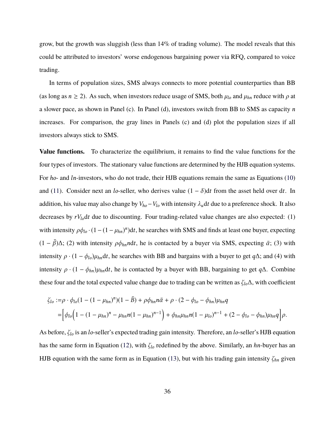grow, but the growth was sluggish (less than 14% of trading volume). The model reveals that this could be attributed to investors' worse endogenous bargaining power via RFQ, compared to voice trading.

In terms of population sizes, SMS always connects to more potential counterparties than BB (as long as  $n \ge 2$ ). As such, when investors reduce usage of SMS, both  $\mu_{lo}$  and  $\mu_{hn}$  reduce with  $\rho$  at a slower pace, as shown in Panel (c). In Panel (d), investors switch from BB to SMS as capacity *n* increases. For comparison, the gray lines in Panels (c) and (d) plot the population sizes if all investors always stick to SMS.

**Value functions.** To characterize the equilibrium, it remains to find the value functions for the four types of investors. The stationary value functions are determined by the HJB equation systems. For *ho*- and *ln*-investors, who do not trade, their HJB equations remain the same as Equations [\(10](#page-17-0)) and ([11\)](#page-18-1). Consider next an *lo*-seller, who derives value  $(1 - \delta)dt$  from the asset held over dt. In addition, his value may also change by  $V_{ho} - V_{lo}$  with intensity  $\lambda_u dt$  due to a preference shock. It also decreases by *rVlo*d*t* due to discounting. Four trading-related value changes are also expected: (1) with intensity  $\rho \phi_{l_o} \cdot (1 - (1 - \mu_{hn})^n) dt$ , he searches with SMS and finds at least one buyer, expecting (1 −  $\bar{\beta}$ )Δ; (2) with intensity  $\rho \phi_{hn}$ *ndt*, he is contacted by a buyer via SMS, expecting  $\bar{\alpha}$ ; (3) with intensity  $\rho \cdot (1 - \phi_{lo})\mu_{hn}dt$ , he searches with BB and bargains with a buyer to get *q*∆; and (4) with intensity  $\rho \cdot (1 - \phi_{hn})\mu_{hn}dt$ , he is contacted by a buyer with BB, bargaining to get  $q\Delta$ . Combine these four and the total expected value change due to trading can be written as *ζlo*∆, with coefficient

$$
\zeta_{lo} := \rho \cdot \phi_{lo} (1 - (1 - \mu_{hn})^n)(1 - \bar{B}) + \rho \phi_{hn} n \bar{\alpha} + \rho \cdot (2 - \phi_{lo} - \phi_{hn}) \mu_{hn} q
$$
  
=  $\left[ \phi_{lo} \left( 1 - (1 - \mu_{hn})^n - \mu_{hn} n (1 - \mu_{hn})^{n-1} \right) + \phi_{hn} \mu_{hn} n (1 - \mu_{lo})^{n-1} + (2 - \phi_{lo} - \phi_{hn}) \mu_{hn} q \right] \rho.$ 

As before, *ζlo* is an *lo*-seller's expected trading gain intensity. Therefore, an *lo*-seller's HJB equation has the same form in Equation [\(12](#page-18-2)), with *ζlo* redefined by the above. Similarly, an *hn*-buyer has an HJB equation with the same form as in Equation ([13\)](#page-18-0), but with his trading gain intensity  $\zeta_{hn}$  given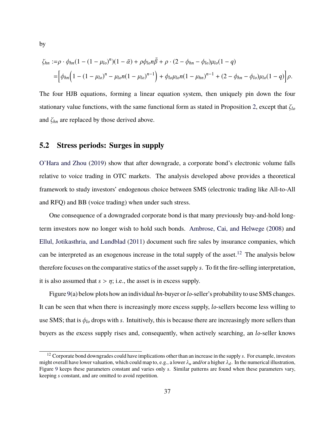$$
\zeta_{hn} := \rho \cdot \phi_{hn} (1 - (1 - \mu_{lo})^n)(1 - \bar{\alpha}) + \rho \phi_{lo} n \bar{\beta} + \rho \cdot (2 - \phi_{hn} - \phi_{lo}) \mu_{lo} (1 - q)
$$
  
= 
$$
\left[ \phi_{hn} \Big( 1 - (1 - \mu_{lo})^n - \mu_{lo} n (1 - \mu_{lo})^{n-1} \Big) + \phi_{lo} \mu_{lo} n (1 - \mu_{hn})^{n-1} + (2 - \phi_{hn} - \phi_{lo}) \mu_{lo} (1 - q) \right] \rho.
$$

The four HJB equations, forming a linear equation system, then uniquely pin down the four stationary value functions, with the same functional form as stated in Proposition [2,](#page-19-0) except that *ζlo* and *ζhn* are replaced by those derived above.

## <span id="page-38-0"></span>**5.2 Stress periods: Surges in supply**

[O'Hara and Zhou](#page-50-1) [\(2019](#page-50-1)) show that after downgrade, a corporate bond's electronic volume falls relative to voice trading in OTC markets. The analysis developed above provides a theoretical framework to study investors' endogenous choice between SMS (electronic trading like All-to-All and RFQ) and BB (voice trading) when under such stress.

One consequence of a downgraded corporate bond is that many previously buy-and-hold longterm investors now no longer wish to hold such bonds. [Ambrose, Cai, and Helwege](#page-49-16) [\(2008\)](#page-49-16) and [Ellul, Jotikasthria, and Lundblad](#page-49-17) ([2011\)](#page-49-17) document such fire sales by insurance companies, which can be interpreted as an exogenous increase in the total supply of the asset.<sup>[12](#page-38-1)</sup> The analysis below therefore focuses on the comparative statics of the asset supply *s*. To fit the fire-selling interpretation, it is also assumed that  $s > \eta$ ; i.e., the asset is in excess supply.

Figure [9\(](#page-39-0)a) below plots how an individual*hn*-buyer or*lo*-seller's probability to use SMS changes. It can be seen that when there is increasingly more excess supply, *lo*-sellers become less willing to use SMS; that is *φlo* drops with *s*. Intuitively, this is because there are increasingly more sellers than buyers as the excess supply rises and, consequently, when actively searching, an *lo*-seller knows

by

<span id="page-38-1"></span><sup>12</sup> Corporate bond downgrades could have implications other than an increase in the supply *s*. For example, investors might overall have lower valuation, which could map to, e.g., a lower  $\lambda_u$  and/or a higher  $\lambda_d$ . In the numerical illustration, Figure [9](#page-39-0) keeps these parameters constant and varies only *s*. Similar patterns are found when these parameters vary, keeping *s* constant, and are omitted to avoid repetition.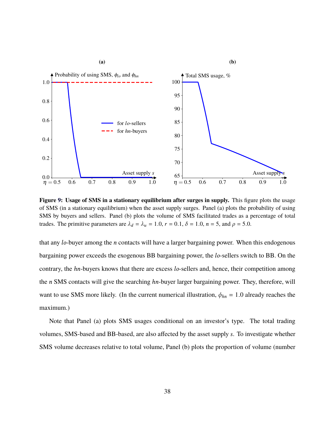<span id="page-39-0"></span>

**Figure [9](#page-39-0): Usage of SMS in a stationary equilibrium after surges in supply.** This figure plots the usage of SMS (in a stationary equilibrium) when the asset supply surges. Panel (a) plots the probability of using SMS by buyers and sellers. Panel (b) plots the volume of SMS facilitated trades as a percentage of total trades. The primitive parameters are  $\lambda_d = \lambda_u = 1.0$ ,  $r = 0.1$ ,  $\delta = 1.0$ ,  $n = 5$ , and  $\rho = 5.0$ .

that any *lo*-buyer among the *n* contacts will have a larger bargaining power. When this endogenous bargaining power exceeds the exogenous BB bargaining power, the *lo*-sellers switch to BB. On the contrary, the *hn*-buyers knows that there are excess *lo*-sellers and, hence, their competition among the *n* SMS contacts will give the searching *hn*-buyer larger bargaining power. They, therefore, will want to use SMS more likely. (In the current numerical illustration,  $\phi_{hn} = 1.0$  already reaches the maximum.)

Note that Panel (a) plots SMS usages conditional on an investor's type. The total trading volumes, SMS-based and BB-based, are also affected by the asset supply *s*. To investigate whether SMS volume decreases relative to total volume, Panel (b) plots the proportion of volume (number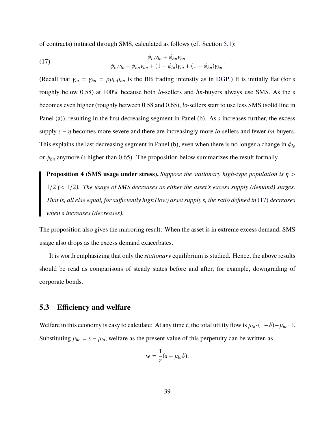of contracts) initiated through SMS, calculated as follows (cf. Section [5.1\)](#page-33-0):

<span id="page-40-1"></span>(17) 
$$
\frac{\phi_{lo}v_{lo} + \phi_{hn}v_{hn}}{\phi_{lo}v_{lo} + \phi_{hn}v_{hn} + (1 - \phi_{lo})\gamma_{lo} + (1 - \phi_{hn})\gamma_{hn}}.
$$

(Recall that  $\gamma_{lo} = \gamma_{hn} = \rho \mu_{lo} \mu_{hn}$  is the BB trading intensity as in [DGP.](#page-49-0)) It is initially flat (for *s*) roughly below 0.58) at 100% because both *lo*-sellers and *hn*-buyers always use SMS. As the *s* becomes even higher (roughly between 0.58 and 0.65), *lo*-sellers start to use less SMS (solid line in Panel (a)), resulting in the first decreasing segment in Panel (b). As *s* increases further, the excess supply *s* − *η* becomes more severe and there are increasingly more *lo*-sellers and fewer *hn*-buyers. This explains the last decreasing segment in Panel (b), even when there is no longer a change in  $\phi_{lo}$ or  $\phi_{hn}$  anymore (*s* higher than 0.65). The proposition below summarizes the result formally.

<span id="page-40-2"></span>**Proposition 4 (SMS usage under stress).** *Suppose the stationary high-type population is η* > 1/2 *(*< 1/2*). The usage of SMS decreases as either the asset's excess supply (demand) surges. That is, all else equal, for sufficiently high (low) asset supply s, the ratio defined in* ([17\)](#page-40-1) *decreases when s increases (decreases).*

The proposition also gives the mirroring result: When the asset is in extreme excess demand, SMS usage also drops as the excess demand exacerbates.

It is worth emphasizing that only the *stationary* equilibrium is studied. Hence, the above results should be read as comparisons of steady states before and after, for example, downgrading of corporate bonds.

## <span id="page-40-0"></span>**5.3 Efficiency and welfare**

Welfare in this economy is easy to calculate: At any time *t*, the total utility flow is  $\mu_{lo} \cdot (1 - \delta) + \mu_{ho} \cdot 1$ . Substituting  $\mu_{ho} = s - \mu_{lo}$ , welfare as the present value of this perpetuity can be written as

$$
w=\frac{1}{r}(s-\mu_{lo}\delta).
$$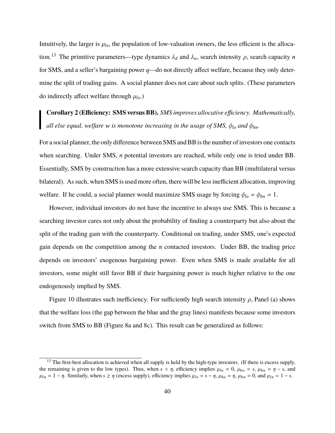Intuitively, the larger is  $\mu_{lo}$ , the population of low-valuation owners, the less efficient is the alloca-tion.<sup>[13](#page-41-0)</sup> The primitive parameters—type dynamics  $\lambda_d$  and  $\lambda_u$ , search intensity  $\rho$ , search capacity *n* for SMS, and a seller's bargaining power *q*—do not directly affect welfare, because they only determine the split of trading gains. A social planner does not care about such splits. (These parameters do indirectly affect welfare through  $\mu_{lo}$ .)

<span id="page-41-1"></span>**Corollary 2 (Efficiency: SMS versus BB).** *SMS improves allocative efficiency. Mathematically, all else equal, welfare w is monotone increasing in the usage of SMS, φlo and φhn.*

For a social planner, the only difference between SMS and BB is the number of investors one contacts when searching. Under SMS, *n* potential investors are reached, while only one is tried under BB. Essentially, SMS by construction has a more extensive search capacity than BB (multilateral versus bilateral). As such, when SMS is used more often, there will be less inefficient allocation, improving welfare. If he could, a social planner would maximize SMS usage by forcing  $\phi_{lo} = \phi_{hn} = 1$ .

However, individual investors do not have the incentive to always use SMS. This is because a searching investor cares not only about the probability of finding a counterparty but also about the split of the trading gain with the counterparty. Conditional on trading, under SMS, one's expected gain depends on the competition among the *n* contacted investors. Under BB, the trading price depends on investors' exogenous bargaining power. Even when SMS is made available for all investors, some might still favor BB if their bargaining power is much higher relative to the one endogenously implied by SMS.

Figure [10](#page-42-0) illustrates such inefficiency. For sufficiently high search intensity *ρ*, Panel (a) shows that the welfare loss (the gap between the blue and the gray lines) manifests because some investors switch from SMS to BB (Figure [8](#page-36-0)a and [8c](#page-36-0)). This result can be generalized as follows:

<span id="page-41-0"></span><sup>&</sup>lt;sup>13</sup> The first-best allocation is achieved when all supply is held by the high-type investors. (If there is excess supply, the remaining is given to the low types). Thus, when  $s < \eta$ , efficiency implies  $\mu_{lo} = 0$ ,  $\mu_{ho} = s$ ,  $\mu_{hn} = \eta - s$ , and  $\mu_{ln} = 1 - \eta$ . Similarly, when  $s \ge \eta$  (excess supply), efficiency implies  $\mu_{lo} = s - \eta$ ,  $\mu_{ho} = \eta$ ,  $\mu_{hn} = 0$ , and  $\mu_{ln} = 1 - s$ .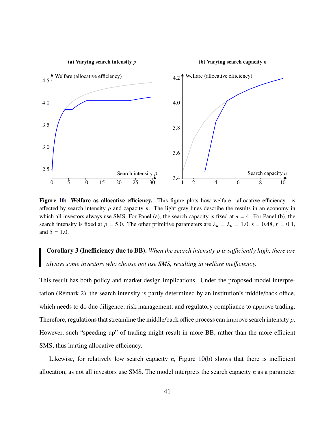<span id="page-42-0"></span>

**Figure [10](#page-42-0): Welfare as allocative efficiency.** This figure plots how welfare—allocative efficiency—is affected by search intensity  $\rho$  and capacity *n*. The light gray lines describe the results in an economy in which all investors always use SMS. For Panel (a), the search capacity is fixed at  $n = 4$ . For Panel (b), the search intensity is fixed at  $\rho = 5.0$ . The other primitive parameters are  $\lambda_d = \lambda_u = 1.0$ ,  $s = 0.48$ ,  $r = 0.1$ , and  $\delta = 1.0$ .

<span id="page-42-1"></span>**Corollary 3 (Inefficiency due to BB).** *When the search intensity ρ is sufficiently high, there are always some investors who choose not use SMS, resulting in welfare inefficiency.*

This result has both policy and market design implications. Under the proposed model interpretation (Remark [2](#page-10-0)), the search intensity is partly determined by an institution's middle/back office, which needs to do due diligence, risk management, and regulatory compliance to approve trading. Therefore, regulations that streamline the middle/back office process can improve search intensity *ρ*. However, such "speeding up" of trading might result in more BB, rather than the more efficient SMS, thus hurting allocative efficiency.

Likewise, for relatively low search capacity *n*, Figure [10\(](#page-42-0)b) shows that there is inefficient allocation, as not all investors use SMS. The model interprets the search capacity *n* as a parameter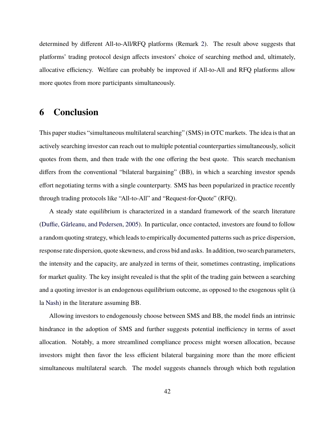determined by different All-to-All/RFQ platforms (Remark [2\)](#page-10-0). The result above suggests that platforms' trading protocol design affects investors' choice of searching method and, ultimately, allocative efficiency. Welfare can probably be improved if All-to-All and RFQ platforms allow more quotes from more participants simultaneously.

## **6 Conclusion**

This paper studies "simultaneous multilateral searching" (SMS) in OTC markets. The idea is that an actively searching investor can reach out to multiple potential counterparties simultaneously, solicit quotes from them, and then trade with the one offering the best quote. This search mechanism differs from the conventional "bilateral bargaining" (BB), in which a searching investor spends effort negotiating terms with a single counterparty. SMS has been popularized in practice recently through trading protocols like "All-to-All" and "Request-for-Quote" (RFQ).

A steady state equilibrium is characterized in a standard framework of the search literature ([Duffie, Gârleanu, and Pedersen,](#page-49-0) [2005](#page-49-0)). In particular, once contacted, investors are found to follow a random quoting strategy, which leads to empirically documented patterns such as price dispersion, response rate dispersion, quote skewness, and cross bid and asks. In addition, two search parameters, the intensity and the capacity, are analyzed in terms of their, sometimes contrasting, implications for market quality. The key insight revealed is that the split of the trading gain between a searching and a quoting investor is an endogenous equilibrium outcome, as opposed to the exogenous split (à la [Nash\)](#page-50-18) in the literature assuming BB.

Allowing investors to endogenously choose between SMS and BB, the model finds an intrinsic hindrance in the adoption of SMS and further suggests potential inefficiency in terms of asset allocation. Notably, a more streamlined compliance process might worsen allocation, because investors might then favor the less efficient bilateral bargaining more than the more efficient simultaneous multilateral search. The model suggests channels through which both regulation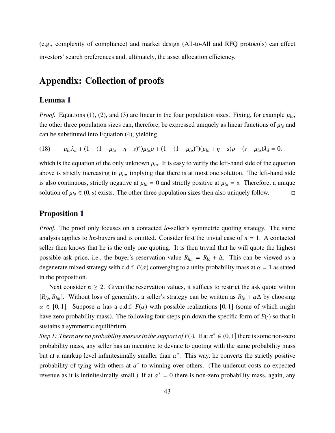(e.g., complexity of compliance) and market design (All-to-All and RFQ protocols) can affect investors' search preferences and, ultimately, the asset allocation efficiency.

## **Appendix: Collection of proofs**

## **Lemma [1](#page-12-2)**

*Proof.* Equations ([1\)](#page-11-1), [\(2](#page-11-4)), and [\(3](#page-11-2)) are linear in the four population sizes. Fixing, for example  $\mu_{lo}$ , the other three population sizes can, therefore, be expressed uniquely as linear functions of  $\mu_{lo}$  and can be substituted into Equation [\(4](#page-12-1)), yielding

<span id="page-44-0"></span>(18) 
$$
\mu_{lo}\lambda_u + (1 - (1 - \mu_{lo} - \eta + s)^n)\mu_{lo}\rho + (1 - (1 - \mu_{lo})^n)(\mu_{lo} + \eta - s)\rho - (s - \mu_{lo})\lambda_d = 0,
$$

which is the equation of the only unknown  $\mu_{lo}$ . It is easy to verify the left-hand side of the equation above is strictly increasing in  $\mu_{lo}$ , implying that there is at most one solution. The left-hand side is also continuous, strictly negative at  $\mu_{lo} = 0$  and strictly positive at  $\mu_{lo} = s$ . Therefore, a unique solution of  $\mu_{l_0} \in (0, s)$  exists. The other three population sizes then also uniquely follow.  $\Box$ 

### **Proposition [1](#page-14-1)**

*Proof.* The proof only focuses on a contacted *lo*-seller's symmetric quoting strategy. The same analysis applies to *hn*-buyers and is omitted. Consider first the trivial case of  $n = 1$ . A contacted seller then knows that he is the only one quoting. It is then trivial that he will quote the highest possible ask price, i.e., the buyer's reservation value  $R_{hn} = R_{lo} + \Delta$ . This can be viewed as a degenerate mixed strategy with c.d.f.  $F(\alpha)$  converging to a unity probability mass at  $\alpha = 1$  as stated in the proposition.

Next consider  $n \geq 2$ . Given the reservation values, it suffices to restrict the ask quote within  $[R_{l_0}, R_{hn}]$ . Without loss of generality, a seller's strategy can be written as  $R_{l_0} + \alpha \Delta$  by choosing  $\alpha \in [0, 1]$ . Suppose  $\alpha$  has a c.d.f.  $F(\alpha)$  with possible realizations [0, 1] (some of which might have zero probability mass). The following four steps pin down the specific form of  $F(\cdot)$  so that it sustains a symmetric equilibrium.

*Step 1: There are no probability masses in the support of*  $F(\cdot)$ . If at  $\alpha^* \in (0, 1]$  there is some non-zero probability mass, any seller has an incentive to deviate to quoting with the same probability mass but at a markup level infinitesimally smaller than  $\alpha^*$ . This way, he converts the strictly positive probability of tying with others at  $\alpha^*$  to winning over others. (The undercut costs no expected revenue as it is infinitesimally small.) If at  $\alpha^* = 0$  there is non-zero probability mass, again, any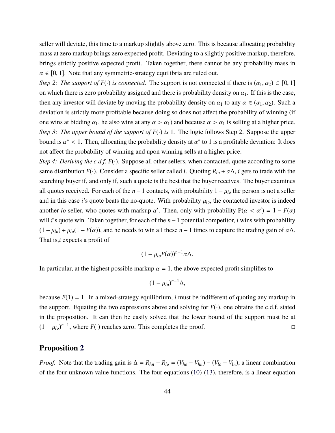seller will deviate, this time to a markup slightly above zero. This is because allocating probability mass at zero markup brings zero expected profit. Deviating to a slightly positive markup, therefore, brings strictly positive expected profit. Taken together, there cannot be any probability mass in  $\alpha \in [0, 1]$ . Note that any symmetric-strategy equilibria are ruled out.

*Step 2: The support of*  $F(\cdot)$  *is connected.* The support is not connected if there is  $(\alpha_1, \alpha_2) \subset [0, 1]$ on which there is zero probability assigned and there is probability density on  $\alpha_1$ . If this is the case, then any investor will deviate by moving the probability density on  $\alpha_1$  to any  $\alpha \in (\alpha_1, \alpha_2)$ . Such a deviation is strictly more profitable because doing so does not affect the probability of winning (if one wins at bidding  $\alpha_1$ , he also wins at any  $\alpha > \alpha_1$  and because  $\alpha > \alpha_1$  is selling at a higher price. *Step 3: The upper bound of the support of*  $F(\cdot)$  *is* 1. The logic follows Step 2. Suppose the upper bound is  $\alpha^*$  < 1. Then, allocating the probability density at  $\alpha^*$  to 1 is a profitable deviation: It does not affect the probability of winning and upon winning sells at a higher price.

*Step 4: Deriving the c.d.f.*  $F(\cdot)$ *.* Suppose all other sellers, when contacted, quote according to some same distribution  $F(\cdot)$ . Consider a specific seller called *i*. Quoting  $R_{l0} + \alpha \Delta$ , *i* gets to trade with the searching buyer if, and only if, such a quote is the best that the buyer receives. The buyer examines all quotes received. For each of the  $n-1$  contacts, with probability  $1 - \mu_{l_0}$  the person is not a seller and in this case *i*'s quote beats the no-quote. With probability  $\mu_{lo}$ , the contacted investor is indeed another *lo*-seller, who quotes with markup  $\alpha'$ . Then, only with probability  $\mathbb{P}(\alpha < \alpha') = 1 - F(\alpha)$ will *i*'s quote win. Taken together, for each of the *n*−1 potential competitor, *i* wins with probability  $(1 - \mu_{lo}) + \mu_{lo}(1 - F(\alpha))$ , and he needs to win all these *n* − 1 times to capture the trading gain of  $\alpha\Delta$ . That is,*i* expects a profit of

$$
(1-\mu_{lo}F(\alpha))^{n-1}\alpha\Delta.
$$

In particular, at the highest possible markup  $\alpha = 1$ , the above expected profit simplifies to

$$
(1-\mu_{lo})^{n-1}\Delta,
$$

because  $F(1) = 1$ . In a mixed-strategy equilibrium, *i* must be indifferent of quoting any markup in the support. Equating the two expressions above and solving for  $F(\cdot)$ , one obtains the c.d.f. stated in the proposition. It can then be easily solved that the lower bound of the support must be at  $(1 - \mu_{lo})^{n-1}$ , where *F*(·) reaches zero. This completes the proof. □

### **Proposition [2](#page-19-0)**

*Proof.* Note that the trading gain is  $\Delta = R_{hn} - R_{lo} = (V_{ho} - V_{hn}) - (V_{lo} - V_{ln})$ , a linear combination of the four unknown value functions. The four equations [\(10](#page-17-0))-([13\)](#page-18-0), therefore, is a linear equation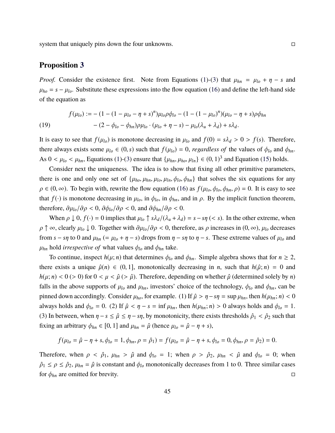system that uniquely pins down the four unknowns.  $\Box$ 

#### **Proposition [3](#page-35-0)**

*Proof.* Consider the existence first. Note from Equations [\(1](#page-11-1))-([3\)](#page-11-2) that  $\mu_{hn} = \mu_{lo} + \eta - s$  and  $\mu_{ho} = s - \mu_{lo}$ . Substitute these expressions into the flow equation ([16\)](#page-34-0) and define the left-hand side of the equation as

<span id="page-46-0"></span>(19) 
$$
f(\mu_{lo}) := -(1 - (1 - \mu_{lo} - \eta + s)^n)\mu_{lo}\rho\phi_{lo} - (1 - (1 - \mu_{lo})^n)(\mu_{lo} - \eta + s)\rho\phi_{hn}
$$

$$
- (2 - \phi_{lo} - \phi_{hn})\rho\mu_{lo} \cdot (\mu_{lo} + \eta - s) - \mu_{lo}(\lambda_u + \lambda_d) + s\lambda_d.
$$

It is easy to see that  $f(\mu_{lo})$  is monotone decreasing in  $\mu_{lo}$  and  $f(0) = s\lambda_d > 0 > f(s)$ . Therefore, there always exists some  $\mu_{lo} \in (0, s)$  such that  $f(\mu_{lo}) = 0$ , *regardless of* the values of  $\phi_{lo}$  and  $\phi_{hn}$ . As  $0 < \mu_{lo} < \mu_{hn}$ , Equations [\(1](#page-11-1))-[\(3\)](#page-11-2) ensure that  $\{\mu_{hn}, \mu_{ho}, \mu_{ln}\} \in (0, 1)^3$  and Equation [\(15](#page-33-1)) holds.

Consider next the uniqueness. The idea is to show that fixing all other primitive parameters, there is one and only one set of  $\{\mu_{ho}, \mu_{hn}, \mu_{lo}, \mu_{ln}, \phi_{lo}, \phi_{hn}\}$  that solves the six equations for any  $\rho \in (0, \infty)$ . To begin with, rewrite the flow equation ([16\)](#page-34-0) as  $f(\mu_{l0}, \phi_{l0}, \phi_{hn}, \rho) = 0$ . It is easy to see that  $f(\cdot)$  is monotone decreasing in  $\mu_{lo}$ , in  $\phi_{lo}$ , in  $\phi_{hn}$ , and in  $\rho$ . By the implicit function theorem, therefore,  $\frac{\partial \mu_{lo}}{\partial \rho} < 0$ ,  $\frac{\partial \phi_{lo}}{\partial \rho} < 0$ , and  $\frac{\partial \phi_{hn}}{\partial \rho} < 0$ .

When  $\rho \downarrow 0$ ,  $f(\cdot) = 0$  implies that  $\mu_{l_0} \uparrow s\lambda_d/(\lambda_u + \lambda_d) = s - s\eta$  (< *s*). In the other extreme, when  $\rho \uparrow \infty$ , clearly  $\mu_{l_0} \downarrow 0$ . Together with  $\partial \mu_{l_0}/\partial \rho < 0$ , therefore, as  $\rho$  increases in  $(0, \infty)$ ,  $\mu_{l_0}$  decreases from  $s - s\eta$  to 0 and  $\mu_{hn}$  (=  $\mu_{lo} + \eta - s$ ) drops from  $\eta - s\eta$  to  $\eta - s$ . These extreme values of  $\mu_{lo}$  and  $\mu_{hn}$  hold *irrespective of* what values  $\phi_{lo}$  and  $\phi_{hn}$  take.

To continue, inspect  $h(\mu; n)$  that determines  $\phi_{l_0}$  and  $\phi_{hn}$ . Simple algebra shows that for  $n \geq 2$ , there exists a unique  $\hat{\mu}(n) \in (0, 1]$ , monotonically decreasing in *n*, such that  $h(\hat{\mu}; n) = 0$  and  $h(\mu; n) < 0$  (> 0) for  $0 < \mu < \hat{\mu}$  (>  $\hat{\mu}$ ). Therefore, depending on whether  $\hat{\mu}$  (determined solely by *n*) falls in the above supports of  $\mu_{lo}$  and  $\mu_{hn}$ , investors' choice of the technology,  $\phi_{lo}$  and  $\phi_{hn}$ , can be pinned down accordingly. Consider  $\mu_{ho}$ , for example. (1) If  $\hat{\mu} > \eta - s\eta = \sup \mu_{hn}$ , then  $h(\mu_{hn}; n) < 0$ always holds and  $\phi_{l_0} = 0$ . (2) If  $\hat{\mu} < \eta - s = \inf \mu_{hn}$ , then  $h(\mu_{hn}; n) > 0$  always holds and  $\phi_{l_0} = 1$ . (3) In between, when  $\eta - s \le \hat{\mu} \le \eta - s\eta$ , by monotonicity, there exists thresholds  $\hat{\rho}_1 < \hat{\rho}_2$  such that fixing an arbitrary  $\phi_{hn} \in [0, 1]$  and  $\mu_{hn} = \hat{\mu}$  (hence  $\mu_{lo} = \hat{\mu} - \eta + s$ ),

$$
f(\mu_{lo} = \hat{\mu} - \eta + s, \phi_{lo} = 1, \phi_{hn}, \rho = \hat{\rho}_1) = f(\mu_{lo} = \hat{\mu} - \eta + s, \phi_{lo} = 0, \phi_{hn}, \rho = \hat{\rho}_2) = 0.
$$

Therefore, when  $\rho < \hat{\rho}_1$ ,  $\mu_{hn} > \hat{\mu}$  and  $\phi_{lo} = 1$ ; when  $\rho > \hat{\rho}_2$ ,  $\mu_{hn} < \hat{\mu}$  and  $\phi_{lo} = 0$ ; when  $\hat{\rho}_1 \leq \rho \leq \hat{\rho}_2$ ,  $\mu_{hn} = \hat{\mu}$  is constant and  $\phi_{lo}$  monotonically decreases from 1 to 0. Three similar cases for  $\phi_{hn}$  are omitted for brevity.  $\Box$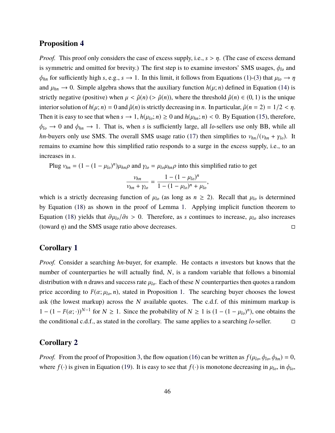#### **Proposition [4](#page-40-2)**

*Proof.* This proof only considers the case of excess supply, i.e., *s* > *η*. (The case of excess demand is symmetric and omitted for brevity.) The first step is to examine investors' SMS usages, *φlo* and  $\phi_{hn}$  for sufficiently high *s*, e.g., *s*  $\rightarrow$  1. In this limit, it follows from Equations ([1\)](#page-11-1)-([3\)](#page-11-2) that  $\mu_{lo} \rightarrow \eta$ and  $\mu_{hn} \rightarrow 0$ . Simple algebra shows that the auxiliary function  $h(\mu; n)$  defined in Equation ([14\)](#page-33-2) is strictly negative (positive) when  $\mu < \hat{\mu}(n)$  (>  $\hat{\mu}(n)$ ), where the threshold  $\hat{\mu}(n) \in (0, 1)$  is the unique interior solution of  $h(\mu; n) = 0$  and  $\hat{\mu}(n)$  is strictly decreasing in *n*. In particular,  $\hat{\mu}(n = 2) = 1/2 < \eta$ . Then it is easy to see that when  $s \to 1$ ,  $h(\mu_{lo}; n) \ge 0$  and  $h(\mu_{hn}; n) < 0$ . By Equation ([15\)](#page-33-1), therefore,  $\phi_{lo} \to 0$  and  $\phi_{hn} \to 1$ . That is, when *s* is sufficiently large, all *lo*-sellers use only BB, while all *hn*-buyers only use SMS. The overall SMS usage ratio [\(17](#page-40-1)) then simplifies to  $v_{hn}/(v_{hn} + \gamma_{lo})$ . It remains to examine how this simplified ratio responds to a surge in the excess supply, i.e., to an increases in *s*.

Plug  $v_{hn} = (1 - (1 - \mu_{lo})^n) \mu_{hn} \rho$  and  $\gamma_{lo} = \mu_{lo} \mu_{hn} \rho$  into this simplified ratio to get

$$
\frac{v_{hn}}{v_{hn} + \gamma_{lo}} = \frac{1 - (1 - \mu_{lo})^n}{1 - (1 - \mu_{lo})^n + \mu_{lo}},
$$

which is a strictly decreasing function of  $\mu_{lo}$  (as long as  $n \geq 2$ ). Recall that  $\mu_{lo}$  is determined by Equation [\(18](#page-44-0)) as shown in the proof of Lemma [1.](#page-12-2) Applying implicit function theorem to Equation [\(18](#page-44-0)) yields that  $\partial \mu_{lo}/\partial s > 0$ . Therefore, as *s* continues to increase,  $\mu_{lo}$  also increases (toward  $\eta$ ) and the SMS usage ratio above decreases.  $\Box$ 

## **Corollary [1](#page-15-0)**

*Proof.* Consider a searching *hn*-buyer, for example. He contacts *n* investors but knows that the number of counterparties he will actually find, *N*, is a random variable that follows a binomial distribution with *n* draws and success rate  $\mu_{lo}$ . Each of these *N* counterparties then quotes a random price according to  $F(\alpha; \mu_0, n)$ , stated in Proposition [1.](#page-14-1) The searching buyer chooses the lowest ask (the lowest markup) across the *N* available quotes. The c.d.f. of this minimum markup is 1 − (1 − *F*(*α*; ·))<sup>*N*−1</sup> for *N* ≥ 1. Since the probability of *N* ≥ 1 is (1 − (1 − *µ*<sub>*l*0</sub>)<sup>*n*</sup>), one obtains the the conditional c.d.f., as stated in the corollary. The same applies to a searching *lo*-seller. □

## **Corollary [2](#page-41-1)**

*Proof.* From the proof of Proposition [3,](#page-35-0) the flow equation ([16\)](#page-34-0) can be written as  $f(\mu_0, \phi_0, \phi_{hn}) = 0$ , where  $f(\cdot)$  is given in Equation [\(19](#page-46-0)). It is easy to see that  $f(\cdot)$  is monotone decreasing in  $\mu_{lo}$ , in  $\phi_{lo}$ ,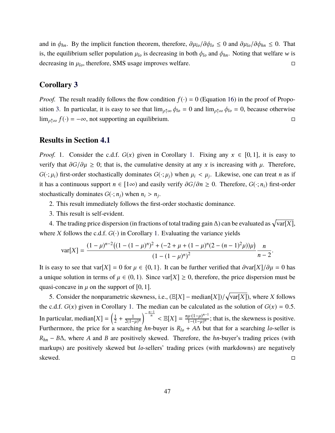and in  $\phi_{hn}$ . By the implicit function theorem, therefore,  $\partial \mu_{lo}/\partial \phi_{lo} \le 0$  and  $\partial \mu_{lo}/\partial \phi_{hn} \le 0$ . That is, the equilibrium seller population  $\mu_{lo}$  is decreasing in both  $\phi_{lo}$  and  $\phi_{hn}$ . Noting that welfare *w* is decreasing in  $\mu_{lo}$ , therefore, SMS usage improves welfare.  $\Box$ 

### **Corollary [3](#page-42-1)**

*Proof.* The result readily follows the flow condition  $f(\cdot) = 0$  (Equation [16\)](#page-34-0) in the proof of Propo-sition [3](#page-35-0). In particular, it is easy to see that  $\lim_{\rho \uparrow \infty} \phi_{lo} = 0$  and  $\lim_{\rho \uparrow \infty} \phi_{lo} = 0$ , because otherwise  $\lim_{\rho \uparrow \infty} f(\cdot) = -\infty$ , not supporting an equilibrium.

#### **Results in Section [4.1](#page-20-0)**

*Proof.* [1](#page-15-0). Consider the c.d.f.  $G(x)$  given in Corollary 1. Fixing any  $x \in [0, 1]$ , it is easy to verify that  $\partial G/\partial \mu \geq 0$ ; that is, the cumulative density at any *x* is increasing with  $\mu$ . Therefore,  $G(\cdot;\mu_i)$  first-order stochastically dominates  $G(\cdot;\mu_j)$  when  $\mu_i < \mu_j$ . Likewise, one can treat *n* as if it has a continuous support  $n \in [1\infty)$  and easily verify  $\partial G/\partial n \ge 0$ . Therefore,  $G(\cdot; n_i)$  first-order stochastically dominates  $G(\cdot; n_j)$  when  $n_i > n_j$ .

- 2. This result immediately follows the first-order stochastic dominance.
- 3. This result is self-evident.

4. The trading price dispersion (in fractions of total trading gain ∆) can be evaluated as  $\sqrt{\text{var}[X]}$ , where *X* follows the c.d.f.  $G(\cdot)$  in Corollary [1.](#page-15-0) Evaluating the variance yields

$$
\text{var}[X] = \frac{(1-\mu)^{n-2} \left( (1-(1-\mu)^n)^2 + (-2+\mu+(1-\mu)^n(2-(n-1)^2\mu))\mu \right)}{(1-(1-\mu)^n)^2} \frac{n}{n-2}.
$$

It is easy to see that var[*X*] = 0 for  $\mu \in \{0, 1\}$ . It can be further verified that  $\frac{\partial \text{var}[X]}{\partial \mu} = 0$  has a unique solution in terms of  $\mu \in (0, 1)$ . Since var[X]  $\geq 0$ , therefore, the price dispersion must be quasi-concave in  $\mu$  on the support of [0, 1].

5. Consider the nonparametric skewness, i.e.,  $(E[X] - \text{median}[X]) / \sqrt{\text{var}[X]}$ , where *X* follows the c.d.f.  $G(x)$  given in Corollary [1](#page-15-0). The median can be calculated as the solution of  $G(x) = 0.5$ . In particular, median $[X] = \left(\frac{1}{2}\right)$  $rac{1}{2} + \frac{1}{2(1-1)}$ 2(1−*µ*) *n*  $\int_{0}^{-\frac{n-1}{n}}$  <  $\mathbb{E}[X] = \frac{n\mu \cdot (1-\mu)^{n-1}}{1-(1-\mu)^n}$  $\frac{\mu \cdot (1-\mu)}{1-(1-\mu)^n}$ ; that is, the skewness is positive. Furthermore, the price for a searching *hn*-buyer is *Rlo* + *A*∆ but that for a searching *lo*-seller is *Rhn* − *B*∆, where *A* and *B* are positively skewed. Therefore, the *hn*-buyer's trading prices (with markups) are positively skewed but *lo*-sellers' trading prices (with markdowns) are negatively skewed.  $□$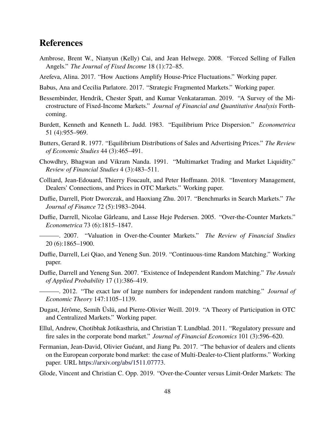## **References**

- <span id="page-49-16"></span>Ambrose, Brent W., Nianyun (Kelly) Cai, and Jean Helwege. 2008. "Forced Selling of Fallen Angels." *The Journal of Fixed Income* 18 (1):72–85.
- <span id="page-49-3"></span>Arefeva, Alina. 2017. "How Auctions Amplify House-Price Fluctuations." Working paper.
- <span id="page-49-7"></span>Babus, Ana and Cecilia Parlatore. 2017. "Strategic Fragmented Markets." Working paper.
- <span id="page-49-1"></span>Bessembinder, Hendrik, Chester Spatt, and Kumar Venkataraman. 2019. "A Survey of the Microstructure of Fixed-Income Markets." *Journal of Financial and Quantitative Analysis* Forthcoming.
- <span id="page-49-11"></span>Burdett, Kenneth and Kenneth L. Judd. 1983. "Equilibrium Price Dispersion." *Econometrica* 51 (4):955–969.
- <span id="page-49-10"></span>Butters, Gerard R. 1977. "Equilibrium Distributions of Sales and Advertising Prices." *The Review of Economic Studies* 44 (3):465–491.
- <span id="page-49-6"></span>Chowdhry, Bhagwan and Vikram Nanda. 1991. "Multimarket Trading and Market Liquidity." *Review of Financial Studies* 4 (3):483–511.
- <span id="page-49-5"></span>Colliard, Jean-Edouard, Thierry Foucault, and Peter Hoffmann. 2018. "Inventory Management, Dealers' Connections, and Prices in OTC Markets." Working paper.
- <span id="page-49-4"></span>Duffie, Darrell, Piotr Dworczak, and Haoxiang Zhu. 2017. "Benchmarks in Search Markets." *The Journal of Finance* 72 (5):1983–2044.
- <span id="page-49-0"></span>Duffie, Darrell, Nicolae Gârleanu, and Lasse Heje Pedersen. 2005. "Over-the-Counter Markets." *Econometrica* 73 (6):1815–1847.
- <span id="page-49-2"></span>———. 2007. "Valuation in Over-the-Counter Markets." *The Review of Financial Studies* 20 (6):1865–1900.
- <span id="page-49-13"></span>Duffie, Darrell, Lei Qiao, and Yeneng Sun. 2019. "Continuous-time Random Matching." Working paper.
- <span id="page-49-14"></span>Duffie, Darrell and Yeneng Sun. 2007. "Existence of Independent Random Matching." *The Annals of Applied Probability* 17 (1):386–419.
- <span id="page-49-15"></span>———. 2012. "The exact law of large numbers for independent random matching." *Journal of Economic Theory* 147:1105–1139.
- <span id="page-49-9"></span>Dugast, Jérôme, Semih Üslü, and Pierre-Olivier Weill. 2019. "A Theory of Participation in OTC and Centralized Markets." Working paper.
- <span id="page-49-17"></span>Ellul, Andrew, Chotibhak Jotikasthria, and Christian T. Lundblad. 2011. "Regulatory pressure and fire sales in the corporate bond market." *Journal of Financial Economics* 101 (3):596–620.
- <span id="page-49-12"></span>Fermanian, Jean-David, Olivier Guéant, and Jiang Pu. 2017. "The behavior of dealers and clients on the European corporate bond market: the case of Multi-Dealer-to-Client platforms." Working paper. URL <https://arxiv.org/abs/1511.07773>.
- <span id="page-49-8"></span>Glode, Vincent and Christian C. Opp. 2019. "Over-the-Counter versus Limit-Order Markets: The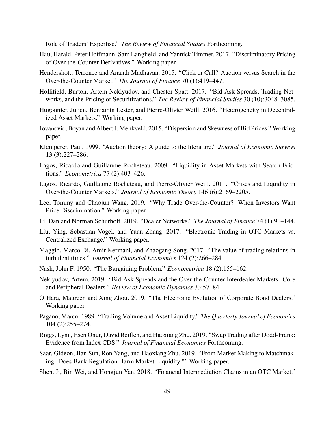Role of Traders' Expertise." *The Review of Financial Studies* Forthcoming.

- <span id="page-50-3"></span>Hau, Harald, Peter Hoffmann, Sam Langfield, and Yannick Timmer. 2017. "Discriminatory Pricing of Over-the-Counter Derivatives." Working paper.
- <span id="page-50-0"></span>Hendershott, Terrence and Ananth Madhavan. 2015. "Click or Call? Auction versus Search in the Over-the-Counter Market." *The Journal of Finance* 70 (1):419–447.
- <span id="page-50-11"></span>Hollifield, Burton, Artem Neklyudov, and Chester Spatt. 2017. "Bid-Ask Spreads, Trading Networks, and the Pricing of Securitizations." *The Review of Financial Studies* 30 (10):3048–3085.
- <span id="page-50-6"></span>Hugonnier, Julien, Benjamin Lester, and Pierre-Olivier Weill. 2016. "Heterogeneity in Decentralized Asset Markets." Working paper.
- <span id="page-50-17"></span>Jovanovic, Boyan and Albert J. Menkveld. 2015. "Dispersion and Skewness of Bid Prices." Working paper.
- <span id="page-50-16"></span>Klemperer, Paul. 1999. "Auction theory: A guide to the literature." *Journal of Economic Surveys* 13 (3):227–286.
- <span id="page-50-4"></span>Lagos, Ricardo and Guillaume Rocheteau. 2009. "Liquidity in Asset Markets with Search Frictions." *Econometrica* 77 (2):403–426.
- <span id="page-50-5"></span>Lagos, Ricardo, Guillaume Rocheteau, and Pierre-Olivier Weill. 2011. "Crises and Liquidity in Over-the-Counter Markets." *Journal of Economic Theory* 146 (6):2169–2205.
- <span id="page-50-15"></span>Lee, Tommy and Chaojun Wang. 2019. "Why Trade Over-the-Counter? When Investors Want Price Discrimination." Working paper.
- <span id="page-50-9"></span>Li, Dan and Norman Schurhoff. 2019. "Dealer Networks." *The Journal of Finance* 74 (1):91–144.
- <span id="page-50-8"></span>Liu, Ying, Sebastian Vogel, and Yuan Zhang. 2017. "Electronic Trading in OTC Markets vs. Centralized Exchange." Working paper.
- <span id="page-50-10"></span>Maggio, Marco Di, Amir Kermani, and Zhaogang Song. 2017. "The value of trading relations in turbulent times." *Journal of Financial Economics* 124 (2):266–284.
- <span id="page-50-18"></span>Nash, John F. 1950. "The Bargaining Problem." *Econometrica* 18 (2):155–162.
- <span id="page-50-12"></span>Neklyudov, Artem. 2019. "Bid-Ask Spreads and the Over-the-Counter Interdealer Markets: Core and Peripheral Dealers." *Review of Economic Dynamics* 33:57–84.
- <span id="page-50-1"></span>O'Hara, Maureen and Xing Zhou. 2019. "The Electronic Evolution of Corporate Bond Dealers." Working paper.
- <span id="page-50-14"></span>Pagano, Marco. 1989. "Trading Volume and Asset Liquidity." *The Quarterly Journal of Economics* 104 (2):255–274.
- <span id="page-50-2"></span>Riggs, Lynn, Esen Onur, David Reiffen, and Haoxiang Zhu. 2019. "Swap Trading after Dodd-Frank: Evidence from Index CDS." *Journal of Financial Economics* Forthcoming.
- <span id="page-50-13"></span>Saar, Gideon, Jian Sun, Ron Yang, and Haoxiang Zhu. 2019. "From Market Making to Matchmaking: Does Bank Regulation Harm Market Liquidity?" Working paper.
- <span id="page-50-7"></span>Shen, Ji, Bin Wei, and Hongjun Yan. 2018. "Financial Intermediation Chains in an OTC Market."